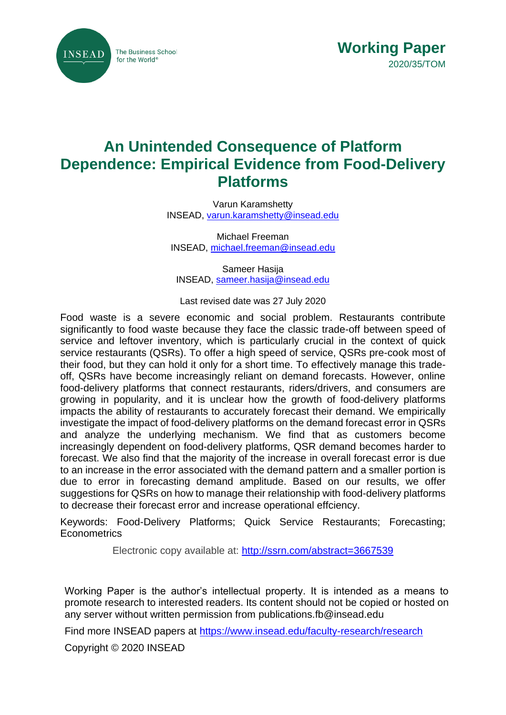



# **An Unintended Consequence of Platform Dependence: Empirical Evidence from Food-Delivery Platforms**

Varun Karamshetty INSEAD, [varun.karamshetty@insead.edu](mailto:varun.karamshetty@insead.edu)

Michael Freeman INSEAD, [michael.freeman@insead.edu](mailto:michael.freeman@insead.edu)

Sameer Hasija INSEAD, [sameer.hasija@insead.edu](mailto:sameer.hasija@insead.edu)

Last revised date was 27 July 2020

Food waste is a severe economic and social problem. Restaurants contribute significantly to food waste because they face the classic trade-off between speed of service and leftover inventory, which is particularly crucial in the context of quick service restaurants (QSRs). To offer a high speed of service, QSRs pre-cook most of their food, but they can hold it only for a short time. To effectively manage this tradeoff, QSRs have become increasingly reliant on demand forecasts. However, online food-delivery platforms that connect restaurants, riders/drivers, and consumers are growing in popularity, and it is unclear how the growth of food-delivery platforms impacts the ability of restaurants to accurately forecast their demand. We empirically investigate the impact of food-delivery platforms on the demand forecast error in QSRs and analyze the underlying mechanism. We find that as customers become increasingly dependent on food-delivery platforms, QSR demand becomes harder to forecast. We also find that the majority of the increase in overall forecast error is due to an increase in the error associated with the demand pattern and a smaller portion is due to error in forecasting demand amplitude. Based on our results, we offer suggestions for QSRs on how to manage their relationship with food-delivery platforms to decrease their forecast error and increase operational effciency.

Keywords: Food-Delivery Platforms; Quick Service Restaurants; Forecasting; **Econometrics** 

Electronic copy available at:<http://ssrn.com/abstract=3667539>

Working Paper is the author's intellectual property. It is intended as a means to promote research to interested readers. Its content should not be copied or hosted on any server without written permission from publications.fb@insead.edu

Find more INSEAD papers at<https://www.insead.edu/faculty-research/research>

Copyright © 2020 INSEAD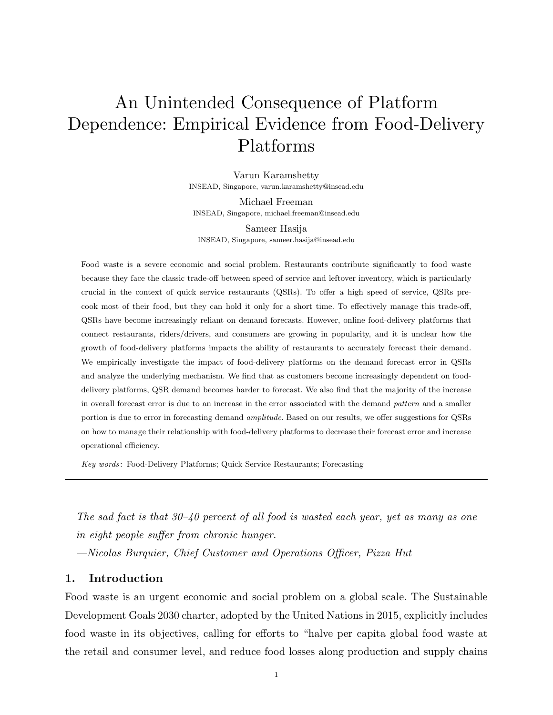# <span id="page-1-0"></span>An Unintended Consequence of Platform Dependence: Empirical Evidence from Food-Delivery Platforms

Varun Karamshetty INSEAD, Singapore, varun.karamshetty@insead.edu

Michael Freeman INSEAD, Singapore, michael.freeman@insead.edu

Sameer Hasija INSEAD, Singapore, sameer.hasija@insead.edu

Food waste is a severe economic and social problem. Restaurants contribute significantly to food waste because they face the classic trade-off between speed of service and leftover inventory, which is particularly crucial in the context of quick service restaurants (QSRs). To offer a high speed of service, QSRs precook most of their food, but they can hold it only for a short time. To effectively manage this trade-off, QSRs have become increasingly reliant on demand forecasts. However, online food-delivery platforms that connect restaurants, riders/drivers, and consumers are growing in popularity, and it is unclear how the growth of food-delivery platforms impacts the ability of restaurants to accurately forecast their demand. We empirically investigate the impact of food-delivery platforms on the demand forecast error in QSRs and analyze the underlying mechanism. We find that as customers become increasingly dependent on fooddelivery platforms, QSR demand becomes harder to forecast. We also find that the majority of the increase in overall forecast error is due to an increase in the error associated with the demand pattern and a smaller portion is due to error in forecasting demand *amplitude*. Based on our results, we offer suggestions for QSRs on how to manage their relationship with food-delivery platforms to decrease their forecast error and increase operational efficiency.

Key words : Food-Delivery Platforms; Quick Service Restaurants; Forecasting

The sad fact is that  $30-\frac{1}{9}$  percent of all food is wasted each year, yet as many as one in eight people suffer from chronic hunger.

—Nicolas Burquier, Chief Customer and Operations Officer, Pizza Hut

# <span id="page-1-1"></span>1. Introduction

Food waste is an urgent economic and social problem on a global scale. The Sustainable Development Goals 2030 charter, adopted by the United Nations in 2015, explicitly includes food waste in its objectives, calling for efforts to "halve per capita global food waste at the retail and consumer level, and reduce food losses along production and supply chains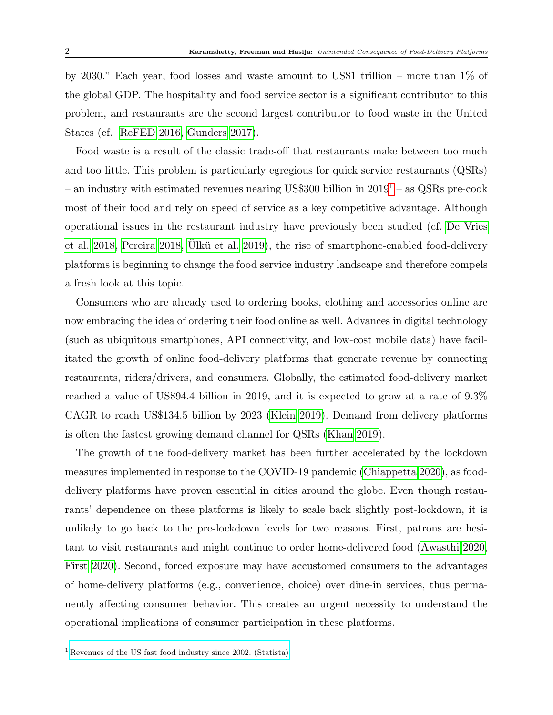by 2030." Each year, food losses and waste amount to US\$1 trillion – more than 1% of the global GDP. The hospitality and food service sector is a significant contributor to this problem, and restaurants are the second largest contributor to food waste in the United States (cf. [ReFED 2016,](#page-33-0) [Gunders 2017\)](#page-31-0).

Food waste is a result of the classic trade-off that restaurants make between too much and too little. This problem is particularly egregious for quick service restaurants (QSRs) – an industry with estimated revenues nearing US\$300 billion in  $2019<sup>1</sup>$  $2019<sup>1</sup>$  $2019<sup>1</sup>$  – as QSRs pre-cook most of their food and rely on speed of service as a key competitive advantage. Although operational issues in the restaurant industry have previously been studied (cf. [De Vries](#page-30-0) [et al. 2018,](#page-30-0) [Pereira 2018,](#page-33-1) Ulkü et al. 2019), the rise of smartphone-enabled food-delivery platforms is beginning to change the food service industry landscape and therefore compels a fresh look at this topic.

Consumers who are already used to ordering books, clothing and accessories online are now embracing the idea of ordering their food online as well. Advances in digital technology (such as ubiquitous smartphones, API connectivity, and low-cost mobile data) have facilitated the growth of online food-delivery platforms that generate revenue by connecting restaurants, riders/drivers, and consumers. Globally, the estimated food-delivery market reached a value of US\$94.4 billion in 2019, and it is expected to grow at a rate of 9.3% CAGR to reach US\$134.5 billion by 2023 [\(Klein 2019\)](#page-31-1). Demand from delivery platforms is often the fastest growing demand channel for QSRs [\(Khan 2019\)](#page-31-2).

The growth of the food-delivery market has been further accelerated by the lockdown measures implemented in response to the COVID-19 pandemic [\(Chiappetta 2020\)](#page-30-1), as fooddelivery platforms have proven essential in cities around the globe. Even though restaurants' dependence on these platforms is likely to scale back slightly post-lockdown, it is unlikely to go back to the pre-lockdown levels for two reasons. First, patrons are hesitant to visit restaurants and might continue to order home-delivered food [\(Awasthi 2020,](#page-29-0) [First 2020\)](#page-30-2). Second, forced exposure may have accustomed consumers to the advantages of home-delivery platforms (e.g., convenience, choice) over dine-in services, thus permanently affecting consumer behavior. This creates an urgent necessity to understand the operational implications of consumer participation in these platforms.

 $1$  [Revenues of the US fast food industry since 2002. \(Statista\)](https://www.statista.com/statistics/196614/revenue-of-the-us-fast-food-restaurant-industry-since-2002/)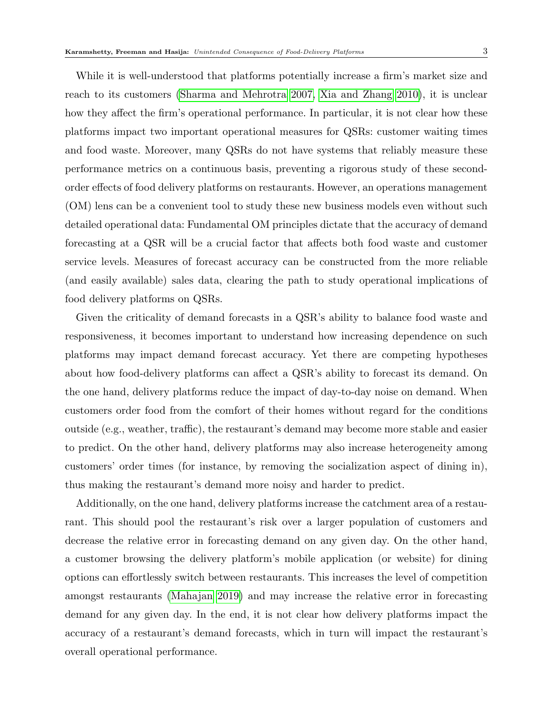While it is well-understood that platforms potentially increase a firm's market size and reach to its customers [\(Sharma and Mehrotra 2007,](#page-33-2) [Xia and Zhang 2010\)](#page-34-1), it is unclear how they affect the firm's operational performance. In particular, it is not clear how these platforms impact two important operational measures for QSRs: customer waiting times and food waste. Moreover, many QSRs do not have systems that reliably measure these performance metrics on a continuous basis, preventing a rigorous study of these secondorder effects of food delivery platforms on restaurants. However, an operations management (OM) lens can be a convenient tool to study these new business models even without such detailed operational data: Fundamental OM principles dictate that the accuracy of demand forecasting at a QSR will be a crucial factor that affects both food waste and customer service levels. Measures of forecast accuracy can be constructed from the more reliable (and easily available) sales data, clearing the path to study operational implications of food delivery platforms on QSRs.

Given the criticality of demand forecasts in a QSR's ability to balance food waste and responsiveness, it becomes important to understand how increasing dependence on such platforms may impact demand forecast accuracy. Yet there are competing hypotheses about how food-delivery platforms can affect a QSR's ability to forecast its demand. On the one hand, delivery platforms reduce the impact of day-to-day noise on demand. When customers order food from the comfort of their homes without regard for the conditions outside (e.g., weather, traffic), the restaurant's demand may become more stable and easier to predict. On the other hand, delivery platforms may also increase heterogeneity among customers' order times (for instance, by removing the socialization aspect of dining in), thus making the restaurant's demand more noisy and harder to predict.

Additionally, on the one hand, delivery platforms increase the catchment area of a restaurant. This should pool the restaurant's risk over a larger population of customers and decrease the relative error in forecasting demand on any given day. On the other hand, a customer browsing the delivery platform's mobile application (or website) for dining options can effortlessly switch between restaurants. This increases the level of competition amongst restaurants [\(Mahajan 2019\)](#page-32-0) and may increase the relative error in forecasting demand for any given day. In the end, it is not clear how delivery platforms impact the accuracy of a restaurant's demand forecasts, which in turn will impact the restaurant's overall operational performance.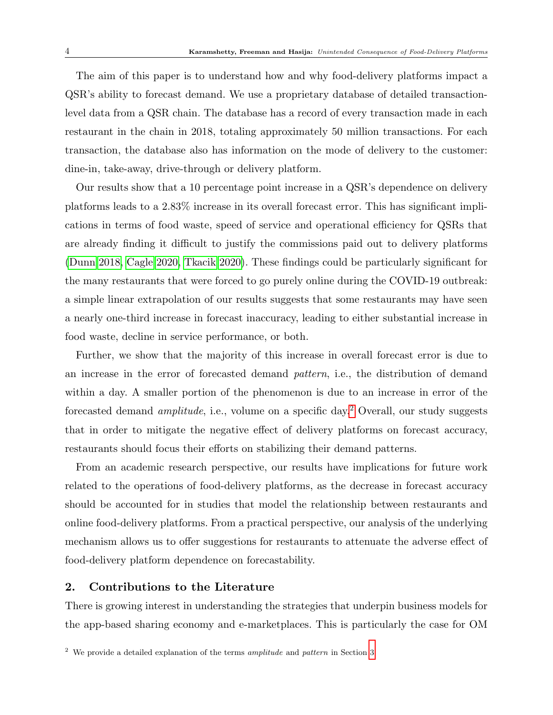The aim of this paper is to understand how and why food-delivery platforms impact a QSR's ability to forecast demand. We use a proprietary database of detailed transactionlevel data from a QSR chain. The database has a record of every transaction made in each restaurant in the chain in 2018, totaling approximately 50 million transactions. For each transaction, the database also has information on the mode of delivery to the customer: dine-in, take-away, drive-through or delivery platform.

Our results show that a 10 percentage point increase in a QSR's dependence on delivery platforms leads to a 2.83% increase in its overall forecast error. This has significant implications in terms of food waste, speed of service and operational efficiency for QSRs that are already finding it difficult to justify the commissions paid out to delivery platforms [\(Dunn 2018,](#page-30-3) [Cagle 2020,](#page-30-4) [Tkacik 2020\)](#page-34-2). These findings could be particularly significant for the many restaurants that were forced to go purely online during the COVID-19 outbreak: a simple linear extrapolation of our results suggests that some restaurants may have seen a nearly one-third increase in forecast inaccuracy, leading to either substantial increase in food waste, decline in service performance, or both.

Further, we show that the majority of this increase in overall forecast error is due to an increase in the error of forecasted demand pattern, i.e., the distribution of demand within a day. A smaller portion of the phenomenon is due to an increase in error of the forecasted demand amplitude, i.e., volume on a specific day.[2](#page-1-0) Overall, our study suggests that in order to mitigate the negative effect of delivery platforms on forecast accuracy, restaurants should focus their efforts on stabilizing their demand patterns.

From an academic research perspective, our results have implications for future work related to the operations of food-delivery platforms, as the decrease in forecast accuracy should be accounted for in studies that model the relationship between restaurants and online food-delivery platforms. From a practical perspective, our analysis of the underlying mechanism allows us to offer suggestions for restaurants to attenuate the adverse effect of food-delivery platform dependence on forecastability.

## <span id="page-4-0"></span>2. Contributions to the Literature

There is growing interest in understanding the strategies that underpin business models for the app-based sharing economy and e-marketplaces. This is particularly the case for OM

<sup>&</sup>lt;sup>2</sup> We provide a detailed explanation of the terms *amplitude* and *pattern* in Section [3.](#page-7-0)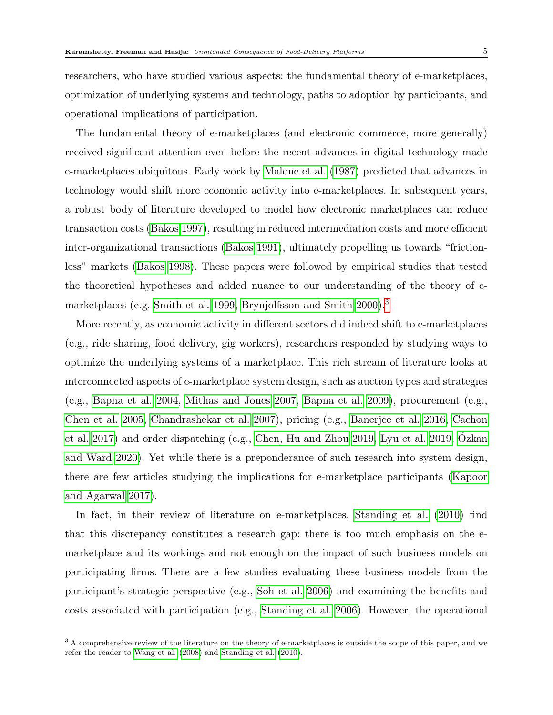researchers, who have studied various aspects: the fundamental theory of e-marketplaces, optimization of underlying systems and technology, paths to adoption by participants, and operational implications of participation.

The fundamental theory of e-marketplaces (and electronic commerce, more generally) received significant attention even before the recent advances in digital technology made e-marketplaces ubiquitous. Early work by [Malone et al.](#page-32-1) [\(1987\)](#page-32-1) predicted that advances in technology would shift more economic activity into e-marketplaces. In subsequent years, a robust body of literature developed to model how electronic marketplaces can reduce transaction costs [\(Bakos 1997\)](#page-29-1), resulting in reduced intermediation costs and more efficient inter-organizational transactions [\(Bakos 1991\)](#page-29-2), ultimately propelling us towards "frictionless" markets [\(Bakos 1998\)](#page-29-3). These papers were followed by empirical studies that tested the theoretical hypotheses and added nuance to our understanding of the theory of e-marketplaces (e.g. [Smith et al. 1999,](#page-33-3) [Brynjolfsson and Smith 2000\)](#page-30-5).<sup>[3](#page-1-0)</sup>

More recently, as economic activity in different sectors did indeed shift to e-marketplaces (e.g., ride sharing, food delivery, gig workers), researchers responded by studying ways to optimize the underlying systems of a marketplace. This rich stream of literature looks at interconnected aspects of e-marketplace system design, such as auction types and strategies (e.g., [Bapna et al. 2004,](#page-29-4) [Mithas and Jones 2007,](#page-32-2) [Bapna et al. 2009\)](#page-29-5), procurement (e.g., [Chen et al. 2005,](#page-30-6) [Chandrashekar et al. 2007\)](#page-30-7), pricing (e.g., [Banerjee et al. 2016,](#page-29-6) [Cachon](#page-30-8) [et al. 2017\)](#page-30-8) and order dispatching (e.g., [Chen, Hu and Zhou 2019,](#page-30-9) [Lyu et al. 2019,](#page-32-3) [Ozkan](#page-32-4) ¨ [and Ward 2020\)](#page-32-4). Yet while there is a preponderance of such research into system design, there are few articles studying the implications for e-marketplace participants [\(Kapoor](#page-31-3) [and Agarwal 2017\)](#page-31-3).

In fact, in their review of literature on e-marketplaces, [Standing et al.](#page-33-4) [\(2010\)](#page-33-4) find that this discrepancy constitutes a research gap: there is too much emphasis on the emarketplace and its workings and not enough on the impact of such business models on participating firms. There are a few studies evaluating these business models from the participant's strategic perspective (e.g., [Soh et al. 2006\)](#page-33-5) and examining the benefits and costs associated with participation (e.g., [Standing et al. 2006\)](#page-33-6). However, the operational

<sup>&</sup>lt;sup>3</sup> A comprehensive review of the literature on the theory of e-marketplaces is outside the scope of this paper, and we refer the reader to [Wang et al.](#page-34-3) [\(2008\)](#page-34-3) and [Standing et al.](#page-33-4) [\(2010\)](#page-33-4).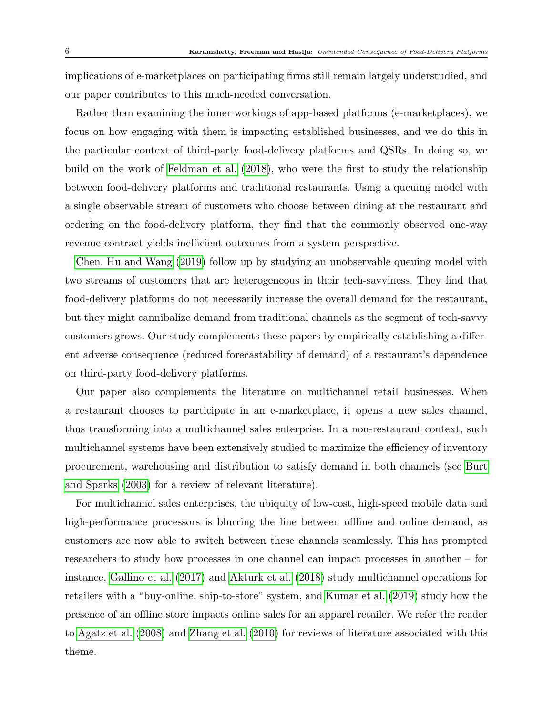implications of e-marketplaces on participating firms still remain largely understudied, and our paper contributes to this much-needed conversation.

Rather than examining the inner workings of app-based platforms (e-marketplaces), we focus on how engaging with them is impacting established businesses, and we do this in the particular context of third-party food-delivery platforms and QSRs. In doing so, we build on the work of [Feldman et al.](#page-30-10) [\(2018\)](#page-30-10), who were the first to study the relationship between food-delivery platforms and traditional restaurants. Using a queuing model with a single observable stream of customers who choose between dining at the restaurant and ordering on the food-delivery platform, they find that the commonly observed one-way revenue contract yields inefficient outcomes from a system perspective.

[Chen, Hu and Wang](#page-30-11) [\(2019\)](#page-30-11) follow up by studying an unobservable queuing model with two streams of customers that are heterogeneous in their tech-savviness. They find that food-delivery platforms do not necessarily increase the overall demand for the restaurant, but they might cannibalize demand from traditional channels as the segment of tech-savvy customers grows. Our study complements these papers by empirically establishing a different adverse consequence (reduced forecastability of demand) of a restaurant's dependence on third-party food-delivery platforms.

Our paper also complements the literature on multichannel retail businesses. When a restaurant chooses to participate in an e-marketplace, it opens a new sales channel, thus transforming into a multichannel sales enterprise. In a non-restaurant context, such multichannel systems have been extensively studied to maximize the efficiency of inventory procurement, warehousing and distribution to satisfy demand in both channels (see [Burt](#page-30-12) [and Sparks](#page-30-12) [\(2003\)](#page-30-12) for a review of relevant literature).

For multichannel sales enterprises, the ubiquity of low-cost, high-speed mobile data and high-performance processors is blurring the line between offline and online demand, as customers are now able to switch between these channels seamlessly. This has prompted researchers to study how processes in one channel can impact processes in another – for instance, [Gallino et al.](#page-31-4) [\(2017\)](#page-31-4) and [Akturk et al.](#page-29-7) [\(2018\)](#page-29-7) study multichannel operations for retailers with a "buy-online, ship-to-store" system, and [Kumar et al.](#page-32-5) [\(2019\)](#page-32-5) study how the presence of an offline store impacts online sales for an apparel retailer. We refer the reader to [Agatz et al.](#page-29-8) [\(2008\)](#page-29-8) and [Zhang et al.](#page-34-4) [\(2010\)](#page-34-4) for reviews of literature associated with this theme.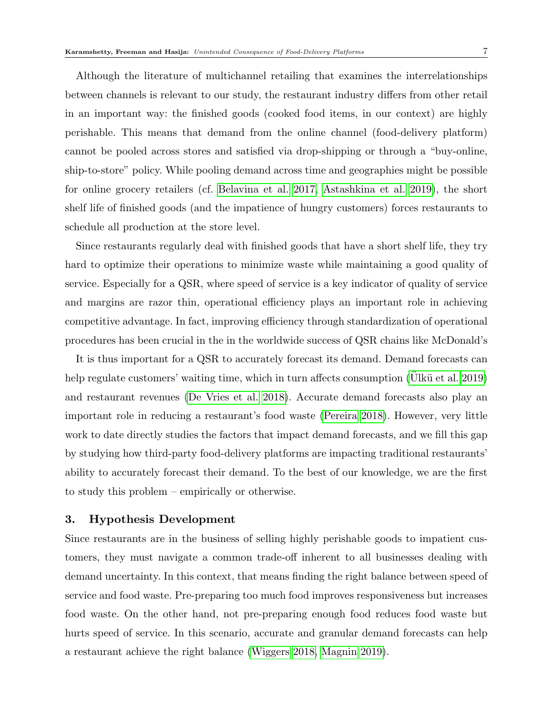Although the literature of multichannel retailing that examines the interrelationships between channels is relevant to our study, the restaurant industry differs from other retail in an important way: the finished goods (cooked food items, in our context) are highly perishable. This means that demand from the online channel (food-delivery platform) cannot be pooled across stores and satisfied via drop-shipping or through a "buy-online, ship-to-store" policy. While pooling demand across time and geographies might be possible for online grocery retailers (cf. [Belavina et al. 2017,](#page-29-9) [Astashkina et al. 2019\)](#page-29-10), the short shelf life of finished goods (and the impatience of hungry customers) forces restaurants to schedule all production at the store level.

Since restaurants regularly deal with finished goods that have a short shelf life, they try hard to optimize their operations to minimize waste while maintaining a good quality of service. Especially for a QSR, where speed of service is a key indicator of quality of service and margins are razor thin, operational efficiency plays an important role in achieving competitive advantage. In fact, improving efficiency through standardization of operational procedures has been crucial in the in the worldwide success of QSR chains like McDonald's

It is thus important for a QSR to accurately forecast its demand. Demand forecasts can help regulate customers' waiting time, which in turn affects consumption (Ulkü et al. 2019) and restaurant revenues [\(De Vries et al. 2018\)](#page-30-0). Accurate demand forecasts also play an important role in reducing a restaurant's food waste [\(Pereira 2018\)](#page-33-1). However, very little work to date directly studies the factors that impact demand forecasts, and we fill this gap by studying how third-party food-delivery platforms are impacting traditional restaurants' ability to accurately forecast their demand. To the best of our knowledge, we are the first to study this problem – empirically or otherwise.

#### <span id="page-7-0"></span>3. Hypothesis Development

Since restaurants are in the business of selling highly perishable goods to impatient customers, they must navigate a common trade-off inherent to all businesses dealing with demand uncertainty. In this context, that means finding the right balance between speed of service and food waste. Pre-preparing too much food improves responsiveness but increases food waste. On the other hand, not pre-preparing enough food reduces food waste but hurts speed of service. In this scenario, accurate and granular demand forecasts can help a restaurant achieve the right balance [\(Wiggers 2018,](#page-34-5) [Magnin 2019\)](#page-32-6).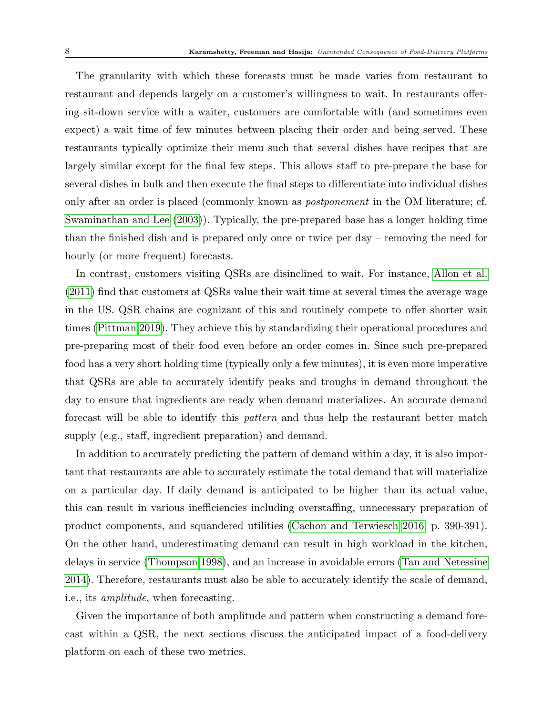The granularity with which these forecasts must be made varies from restaurant to restaurant and depends largely on a customer's willingness to wait. In restaurants offering sit-down service with a waiter, customers are comfortable with (and sometimes even expect) a wait time of few minutes between placing their order and being served. These restaurants typically optimize their menu such that several dishes have recipes that are largely similar except for the final few steps. This allows staff to pre-prepare the base for several dishes in bulk and then execute the final steps to differentiate into individual dishes only after an order is placed (commonly known as postponement in the OM literature; cf. [Swaminathan and Lee](#page-33-7) [\(2003\)](#page-33-7)). Typically, the pre-prepared base has a longer holding time than the finished dish and is prepared only once or twice per day – removing the need for hourly (or more frequent) forecasts.

In contrast, customers visiting QSRs are disinclined to wait. For instance, [Allon et al.](#page-29-11) [\(2011\)](#page-29-11) find that customers at QSRs value their wait time at several times the average wage in the US. QSR chains are cognizant of this and routinely compete to offer shorter wait times [\(Pittman 2019\)](#page-33-8). They achieve this by standardizing their operational procedures and pre-preparing most of their food even before an order comes in. Since such pre-prepared food has a very short holding time (typically only a few minutes), it is even more imperative that QSRs are able to accurately identify peaks and troughs in demand throughout the day to ensure that ingredients are ready when demand materializes. An accurate demand forecast will be able to identify this pattern and thus help the restaurant better match supply (e.g., staff, ingredient preparation) and demand.

In addition to accurately predicting the pattern of demand within a day, it is also important that restaurants are able to accurately estimate the total demand that will materialize on a particular day. If daily demand is anticipated to be higher than its actual value, this can result in various inefficiencies including overstaffing, unnecessary preparation of product components, and squandered utilities [\(Cachon and Terwiesch 2016,](#page-30-13) p. 390-391). On the other hand, underestimating demand can result in high workload in the kitchen, delays in service [\(Thompson 1998\)](#page-34-6), and an increase in avoidable errors [\(Tan and Netessine](#page-33-9) [2014\)](#page-33-9). Therefore, restaurants must also be able to accurately identify the scale of demand, i.e., its amplitude, when forecasting.

Given the importance of both amplitude and pattern when constructing a demand forecast within a QSR, the next sections discuss the anticipated impact of a food-delivery platform on each of these two metrics.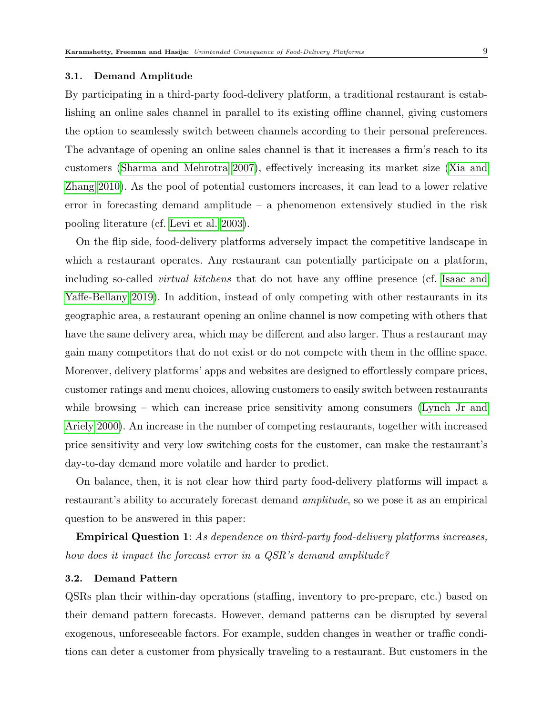#### <span id="page-9-0"></span>3.1. Demand Amplitude

By participating in a third-party food-delivery platform, a traditional restaurant is establishing an online sales channel in parallel to its existing offline channel, giving customers the option to seamlessly switch between channels according to their personal preferences. The advantage of opening an online sales channel is that it increases a firm's reach to its customers [\(Sharma and Mehrotra 2007\)](#page-33-2), effectively increasing its market size [\(Xia and](#page-34-1) [Zhang 2010\)](#page-34-1). As the pool of potential customers increases, it can lead to a lower relative error in forecasting demand amplitude – a phenomenon extensively studied in the risk pooling literature (cf. [Levi et al. 2003\)](#page-32-7).

On the flip side, food-delivery platforms adversely impact the competitive landscape in which a restaurant operates. Any restaurant can potentially participate on a platform, including so-called virtual kitchens that do not have any offline presence (cf. [Isaac and](#page-31-5) [Yaffe-Bellany 2019\)](#page-31-5). In addition, instead of only competing with other restaurants in its geographic area, a restaurant opening an online channel is now competing with others that have the same delivery area, which may be different and also larger. Thus a restaurant may gain many competitors that do not exist or do not compete with them in the offline space. Moreover, delivery platforms' apps and websites are designed to effortlessly compare prices, customer ratings and menu choices, allowing customers to easily switch between restaurants while browsing – which can increase price sensitivity among consumers [\(Lynch Jr and](#page-32-8) [Ariely 2000\)](#page-32-8). An increase in the number of competing restaurants, together with increased price sensitivity and very low switching costs for the customer, can make the restaurant's day-to-day demand more volatile and harder to predict.

On balance, then, it is not clear how third party food-delivery platforms will impact a restaurant's ability to accurately forecast demand amplitude, so we pose it as an empirical question to be answered in this paper:

Empirical Question 1: As dependence on third-party food-delivery platforms increases, how does it impact the forecast error in a QSR's demand amplitude?

#### <span id="page-9-1"></span>3.2. Demand Pattern

QSRs plan their within-day operations (staffing, inventory to pre-prepare, etc.) based on their demand pattern forecasts. However, demand patterns can be disrupted by several exogenous, unforeseeable factors. For example, sudden changes in weather or traffic conditions can deter a customer from physically traveling to a restaurant. But customers in the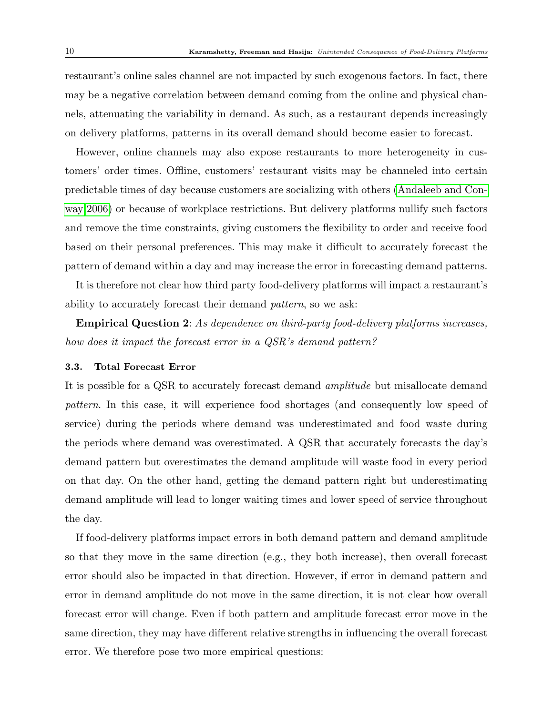restaurant's online sales channel are not impacted by such exogenous factors. In fact, there may be a negative correlation between demand coming from the online and physical channels, attenuating the variability in demand. As such, as a restaurant depends increasingly on delivery platforms, patterns in its overall demand should become easier to forecast.

However, online channels may also expose restaurants to more heterogeneity in customers' order times. Offline, customers' restaurant visits may be channeled into certain predictable times of day because customers are socializing with others [\(Andaleeb and Con](#page-29-12)[way 2006\)](#page-29-12) or because of workplace restrictions. But delivery platforms nullify such factors and remove the time constraints, giving customers the flexibility to order and receive food based on their personal preferences. This may make it difficult to accurately forecast the pattern of demand within a day and may increase the error in forecasting demand patterns.

It is therefore not clear how third party food-delivery platforms will impact a restaurant's ability to accurately forecast their demand pattern, so we ask:

Empirical Question 2: As dependence on third-party food-delivery platforms increases, how does it impact the forecast error in a QSR's demand pattern?

#### <span id="page-10-0"></span>3.3. Total Forecast Error

It is possible for a QSR to accurately forecast demand amplitude but misallocate demand pattern. In this case, it will experience food shortages (and consequently low speed of service) during the periods where demand was underestimated and food waste during the periods where demand was overestimated. A QSR that accurately forecasts the day's demand pattern but overestimates the demand amplitude will waste food in every period on that day. On the other hand, getting the demand pattern right but underestimating demand amplitude will lead to longer waiting times and lower speed of service throughout the day.

If food-delivery platforms impact errors in both demand pattern and demand amplitude so that they move in the same direction (e.g., they both increase), then overall forecast error should also be impacted in that direction. However, if error in demand pattern and error in demand amplitude do not move in the same direction, it is not clear how overall forecast error will change. Even if both pattern and amplitude forecast error move in the same direction, they may have different relative strengths in influencing the overall forecast error. We therefore pose two more empirical questions: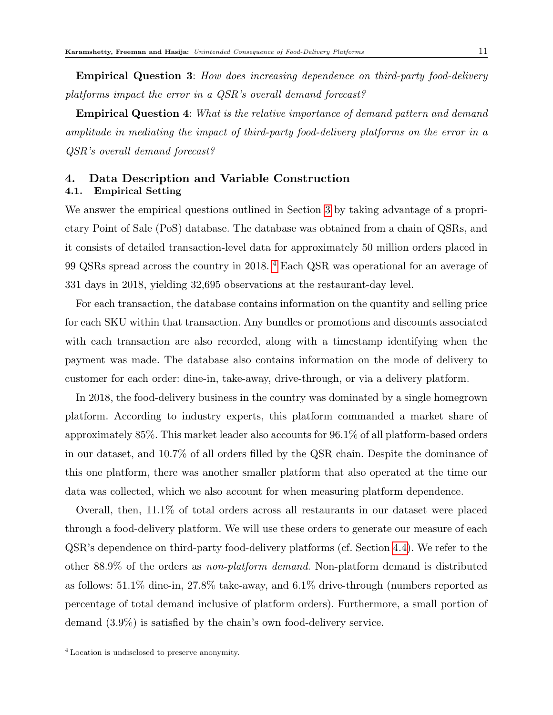Empirical Question 3: How does increasing dependence on third-party food-delivery platforms impact the error in a QSR's overall demand forecast?

Empirical Question 4: What is the relative importance of demand pattern and demand amplitude in mediating the impact of third-party food-delivery platforms on the error in a QSR's overall demand forecast?

# <span id="page-11-0"></span>4. Data Description and Variable Construction

# 4.1. Empirical Setting

We answer the empirical questions outlined in Section [3](#page-7-0) by taking advantage of a proprietary Point of Sale (PoS) database. The database was obtained from a chain of QSRs, and it consists of detailed transaction-level data for approximately 50 million orders placed in 99 QSRs spread across the country in 2018. [4](#page-1-0) Each QSR was operational for an average of 331 days in 2018, yielding 32,695 observations at the restaurant-day level.

For each transaction, the database contains information on the quantity and selling price for each SKU within that transaction. Any bundles or promotions and discounts associated with each transaction are also recorded, along with a timestamp identifying when the payment was made. The database also contains information on the mode of delivery to customer for each order: dine-in, take-away, drive-through, or via a delivery platform.

In 2018, the food-delivery business in the country was dominated by a single homegrown platform. According to industry experts, this platform commanded a market share of approximately 85%. This market leader also accounts for 96.1% of all platform-based orders in our dataset, and 10.7% of all orders filled by the QSR chain. Despite the dominance of this one platform, there was another smaller platform that also operated at the time our data was collected, which we also account for when measuring platform dependence.

Overall, then, 11.1% of total orders across all restaurants in our dataset were placed through a food-delivery platform. We will use these orders to generate our measure of each QSR's dependence on third-party food-delivery platforms (cf. Section [4.4\)](#page-17-0). We refer to the other 88.9% of the orders as non-platform demand. Non-platform demand is distributed as follows:  $51.1\%$  dine-in,  $27.8\%$  take-away, and  $6.1\%$  drive-through (numbers reported as percentage of total demand inclusive of platform orders). Furthermore, a small portion of demand (3.9%) is satisfied by the chain's own food-delivery service.

<sup>4</sup> Location is undisclosed to preserve anonymity.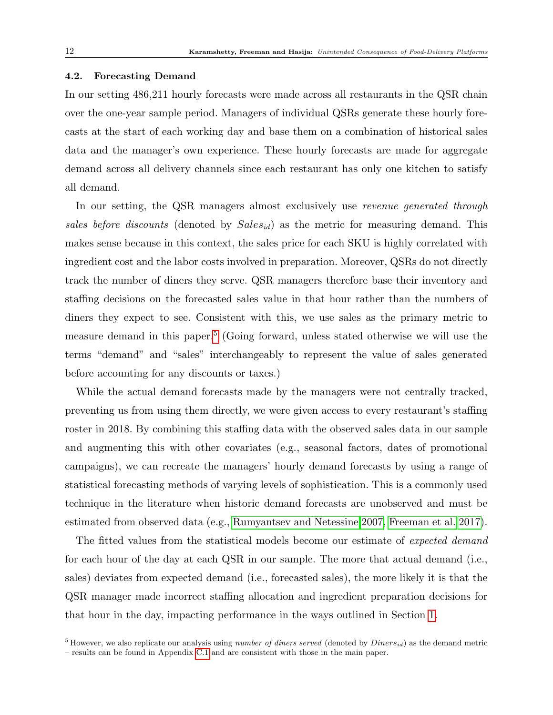#### <span id="page-12-0"></span>4.2. Forecasting Demand

In our setting 486,211 hourly forecasts were made across all restaurants in the QSR chain over the one-year sample period. Managers of individual QSRs generate these hourly forecasts at the start of each working day and base them on a combination of historical sales data and the manager's own experience. These hourly forecasts are made for aggregate demand across all delivery channels since each restaurant has only one kitchen to satisfy all demand.

In our setting, the QSR managers almost exclusively use *revenue generated through* sales before discounts (denoted by  $Sales_{id}$ ) as the metric for measuring demand. This makes sense because in this context, the sales price for each SKU is highly correlated with ingredient cost and the labor costs involved in preparation. Moreover, QSRs do not directly track the number of diners they serve. QSR managers therefore base their inventory and staffing decisions on the forecasted sales value in that hour rather than the numbers of diners they expect to see. Consistent with this, we use sales as the primary metric to measure demand in this paper.<sup>[5](#page-1-0)</sup> (Going forward, unless stated otherwise we will use the terms "demand" and "sales" interchangeably to represent the value of sales generated before accounting for any discounts or taxes.)

While the actual demand forecasts made by the managers were not centrally tracked, preventing us from using them directly, we were given access to every restaurant's staffing roster in 2018. By combining this staffing data with the observed sales data in our sample and augmenting this with other covariates (e.g., seasonal factors, dates of promotional campaigns), we can recreate the managers' hourly demand forecasts by using a range of statistical forecasting methods of varying levels of sophistication. This is a commonly used technique in the literature when historic demand forecasts are unobserved and must be estimated from observed data (e.g., [Rumyantsev and Netessine 2007,](#page-33-10) [Freeman et al. 2017\)](#page-31-6).

The fitted values from the statistical models become our estimate of *expected demand* for each hour of the day at each QSR in our sample. The more that actual demand (i.e., sales) deviates from expected demand (i.e., forecasted sales), the more likely it is that the QSR manager made incorrect staffing allocation and ingredient preparation decisions for that hour in the day, impacting performance in the ways outlined in Section [1.](#page-1-1)

<sup>&</sup>lt;sup>5</sup> However, we also replicate our analysis using *number of diners served* (denoted by  $D^{iners}_{id}$ ) as the demand metric

<sup>–</sup> results can be found in Appendix [C.1](#page-9-0) and are consistent with those in the main paper.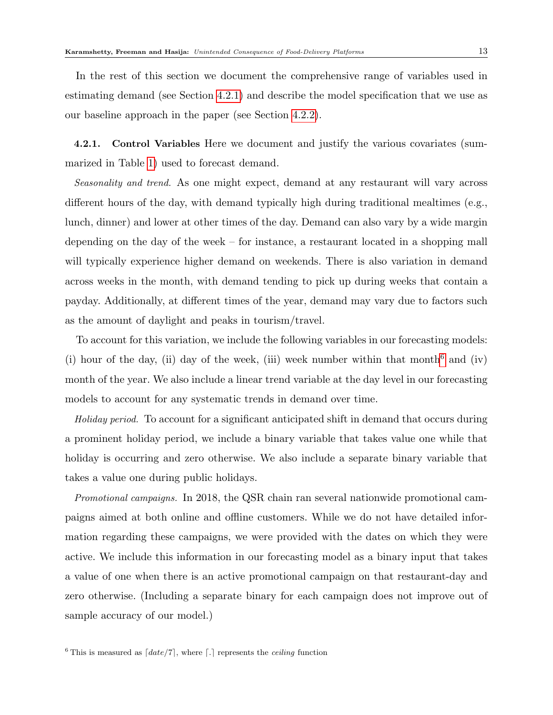In the rest of this section we document the comprehensive range of variables used in estimating demand (see Section [4.2.1\)](#page-13-0) and describe the model specification that we use as our baseline approach in the paper (see Section [4.2.2\)](#page-14-0).

<span id="page-13-0"></span>4.2.1. Control Variables Here we document and justify the various covariates (summarized in Table [1\)](#page-14-1) used to forecast demand.

Seasonality and trend. As one might expect, demand at any restaurant will vary across different hours of the day, with demand typically high during traditional mealtimes (e.g., lunch, dinner) and lower at other times of the day. Demand can also vary by a wide margin depending on the day of the week – for instance, a restaurant located in a shopping mall will typically experience higher demand on weekends. There is also variation in demand across weeks in the month, with demand tending to pick up during weeks that contain a payday. Additionally, at different times of the year, demand may vary due to factors such as the amount of daylight and peaks in tourism/travel.

To account for this variation, we include the following variables in our forecasting models: (i) hour of the day, (ii) day of the week, (iii) week number within that month<sup>[6](#page-1-0)</sup> and (iv) month of the year. We also include a linear trend variable at the day level in our forecasting models to account for any systematic trends in demand over time.

Holiday period. To account for a significant anticipated shift in demand that occurs during a prominent holiday period, we include a binary variable that takes value one while that holiday is occurring and zero otherwise. We also include a separate binary variable that takes a value one during public holidays.

Promotional campaigns. In 2018, the QSR chain ran several nationwide promotional campaigns aimed at both online and offline customers. While we do not have detailed information regarding these campaigns, we were provided with the dates on which they were active. We include this information in our forecasting model as a binary input that takes a value of one when there is an active promotional campaign on that restaurant-day and zero otherwise. (Including a separate binary for each campaign does not improve out of sample accuracy of our model.)

<sup>&</sup>lt;sup>6</sup> This is measured as  $\lceil date/7 \rceil$ , where  $\lceil . \rceil$  represents the *ceiling* function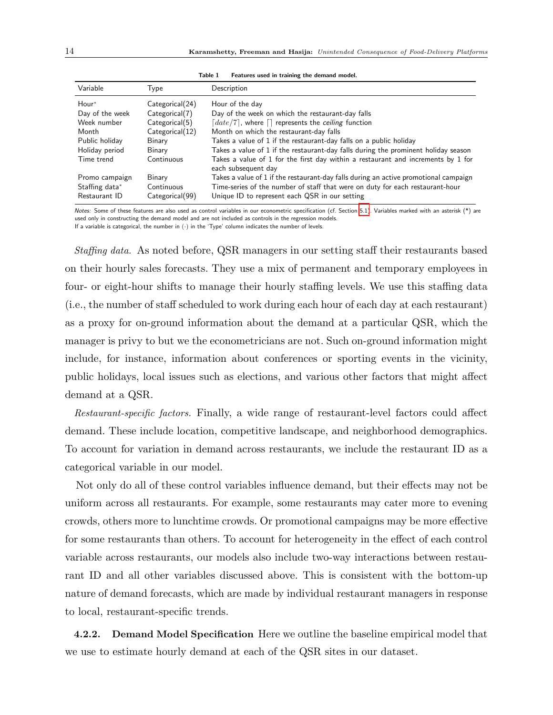<span id="page-14-1"></span>

| Variable                        | Type                          | Description                                                                                                                     |
|---------------------------------|-------------------------------|---------------------------------------------------------------------------------------------------------------------------------|
| Hour*                           | Categorical(24)               | Hour of the day                                                                                                                 |
| Day of the week                 | Categorical(7)                | Day of the week on which the restaurant-day falls                                                                               |
| Week number                     | Categorical(5)                | $\lceil date/7 \rceil$ , where $\lceil \rceil$ represents the ceiling function                                                  |
| Month                           | Categorical(12)               | Month on which the restaurant-day falls                                                                                         |
| Public holiday                  | Binary                        | Takes a value of 1 if the restaurant-day falls on a public holiday                                                              |
| Holiday period                  | Binary                        | Takes a value of 1 if the restaurant-day falls during the prominent holiday season                                              |
| Time trend                      | Continuous                    | Takes a value of 1 for the first day within a restaurant and increments by 1 for<br>each subsequent day                         |
| Promo campaign                  | Binary                        | Takes a value of 1 if the restaurant-day falls during an active promotional campaign                                            |
| Staffing data*<br>Restaurant ID | Continuous<br>Categorical(99) | Time-series of the number of staff that were on duty for each restaurant-hour<br>Unique ID to represent each QSR in our setting |

Table 1 Features used in training the demand model.

Notes: Some of these features are also used as control variables in our econometric specification (cf. Section [5.1\)](#page-20-0). Variables marked with an asterisk (\*) are used only in constructing the demand model and are not included as controls in the regression models.

If a variable is categorical, the number in  $(\cdot)$  in the 'Type' column indicates the number of levels.

Staffing data. As noted before, QSR managers in our setting staff their restaurants based on their hourly sales forecasts. They use a mix of permanent and temporary employees in four- or eight-hour shifts to manage their hourly staffing levels. We use this staffing data (i.e., the number of staff scheduled to work during each hour of each day at each restaurant) as a proxy for on-ground information about the demand at a particular QSR, which the manager is privy to but we the econometricians are not. Such on-ground information might include, for instance, information about conferences or sporting events in the vicinity, public holidays, local issues such as elections, and various other factors that might affect demand at a QSR.

Restaurant-specific factors. Finally, a wide range of restaurant-level factors could affect demand. These include location, competitive landscape, and neighborhood demographics. To account for variation in demand across restaurants, we include the restaurant ID as a categorical variable in our model.

Not only do all of these control variables influence demand, but their effects may not be uniform across all restaurants. For example, some restaurants may cater more to evening crowds, others more to lunchtime crowds. Or promotional campaigns may be more effective for some restaurants than others. To account for heterogeneity in the effect of each control variable across restaurants, our models also include two-way interactions between restaurant ID and all other variables discussed above. This is consistent with the bottom-up nature of demand forecasts, which are made by individual restaurant managers in response to local, restaurant-specific trends.

<span id="page-14-0"></span>4.2.2. Demand Model Specification Here we outline the baseline empirical model that we use to estimate hourly demand at each of the QSR sites in our dataset.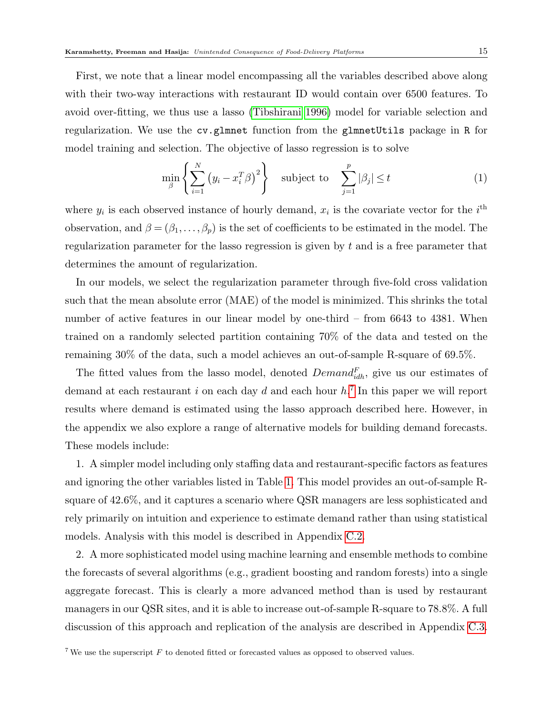First, we note that a linear model encompassing all the variables described above along with their two-way interactions with restaurant ID would contain over 6500 features. To avoid over-fitting, we thus use a lasso [\(Tibshirani 1996\)](#page-34-7) model for variable selection and regularization. We use the cv.glmnet function from the glmnetUtils package in R for model training and selection. The objective of lasso regression is to solve

$$
\min_{\beta} \left\{ \sum_{i=1}^{N} \left( y_i - x_i^T \beta \right)^2 \right\} \quad \text{subject to} \quad \sum_{j=1}^{p} |\beta_j| \le t \tag{1}
$$

where  $y_i$  is each observed instance of hourly demand,  $x_i$  is the covariate vector for the  $i^{\text{th}}$ observation, and  $\beta = (\beta_1, \ldots, \beta_p)$  is the set of coefficients to be estimated in the model. The regularization parameter for the lasso regression is given by t and is a free parameter that determines the amount of regularization.

In our models, we select the regularization parameter through five-fold cross validation such that the mean absolute error (MAE) of the model is minimized. This shrinks the total number of active features in our linear model by one-third – from 6643 to 4381. When trained on a randomly selected partition containing 70% of the data and tested on the remaining 30% of the data, such a model achieves an out-of-sample R-square of 69.5%.

The fitted values from the lasso model, denoted  $Demand_{idh}^F$ , give us our estimates of demand at each restaurant i on each day d and each hour  $h$ <sup>[7](#page-1-0)</sup>. In this paper we will report results where demand is estimated using the lasso approach described here. However, in the appendix we also explore a range of alternative models for building demand forecasts. These models include:

1. A simpler model including only staffing data and restaurant-specific factors as features and ignoring the other variables listed in Table [1.](#page-14-1) This model provides an out-of-sample Rsquare of 42.6%, and it captures a scenario where QSR managers are less sophisticated and rely primarily on intuition and experience to estimate demand rather than using statistical models. Analysis with this model is described in Appendix [C.2.](#page-9-1)

2. A more sophisticated model using machine learning and ensemble methods to combine the forecasts of several algorithms (e.g., gradient boosting and random forests) into a single aggregate forecast. This is clearly a more advanced method than is used by restaurant managers in our QSR sites, and it is able to increase out-of-sample R-square to 78.8%. A full discussion of this approach and replication of the analysis are described in Appendix [C.3.](#page-10-0)

<sup>&</sup>lt;sup>7</sup> We use the superscript  $F$  to denoted fitted or forecasted values as opposed to observed values.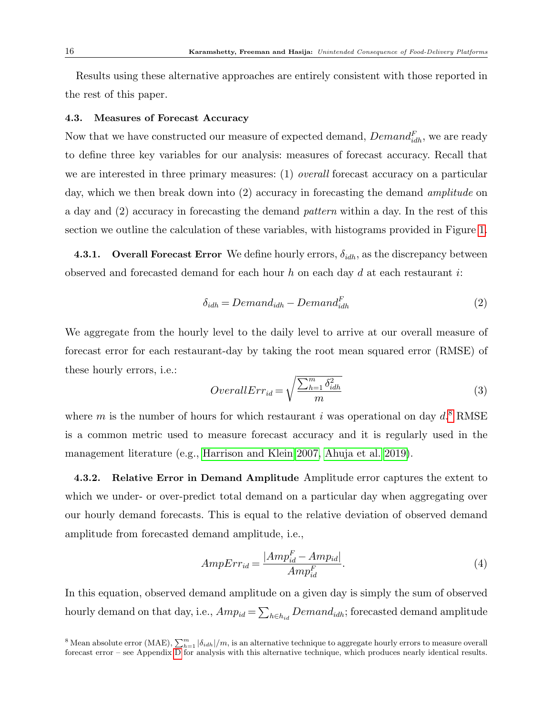Results using these alternative approaches are entirely consistent with those reported in the rest of this paper.

#### <span id="page-16-0"></span>4.3. Measures of Forecast Accuracy

Now that we have constructed our measure of expected demand,  $Demand_{idh}^F$ , we are ready to define three key variables for our analysis: measures of forecast accuracy. Recall that we are interested in three primary measures: (1) *overall* forecast accuracy on a particular day, which we then break down into (2) accuracy in forecasting the demand *amplitude* on a day and (2) accuracy in forecasting the demand pattern within a day. In the rest of this section we outline the calculation of these variables, with histograms provided in Figure [1.](#page-18-0)

<span id="page-16-2"></span>**4.3.1.** Overall Forecast Error We define hourly errors,  $\delta_{idh}$ , as the discrepancy between observed and forecasted demand for each hour  $h$  on each day  $d$  at each restaurant  $i$ :

<span id="page-16-1"></span>
$$
\delta_{idh} = Demand_{idh} - Demand_{idh}^F
$$
\n(2)

We aggregate from the hourly level to the daily level to arrive at our overall measure of forecast error for each restaurant-day by taking the root mean squared error (RMSE) of these hourly errors, i.e.:

$$
OverallErr_{id} = \sqrt{\frac{\sum_{h=1}^{m} \delta_{idh}^2}{m}}
$$
\n(3)

where m is the number of hours for which restaurant i was operational on day  $d$ <sup>[8](#page-1-0)</sup> RMSE is a common metric used to measure forecast accuracy and it is regularly used in the management literature (e.g., [Harrison and Klein 2007,](#page-31-7) [Ahuja et al. 2019\)](#page-29-13).

4.3.2. Relative Error in Demand Amplitude Amplitude error captures the extent to which we under- or over-predict total demand on a particular day when aggregating over our hourly demand forecasts. This is equal to the relative deviation of observed demand amplitude from forecasted demand amplitude, i.e.,

$$
AmpErr_{id} = \frac{|Amp_{id}^F - Amp_{id}|}{Amp_{id}^F}.
$$
\n<sup>(4)</sup>

In this equation, observed demand amplitude on a given day is simply the sum of observed hourly demand on that day, i.e.,  $Amp_{id} = \sum_{h \in h_{id}} Demon_{idh}$ ; forecasted demand amplitude

<sup>&</sup>lt;sup>8</sup> Mean absolute error (MAE),  $\sum_{h=1}^{m} |\delta_{idh}|/m$ , is an alternative technique to aggregate hourly errors to measure overall forecast error – see Appendix [D](#page-11-0) for analysis with this alternative technique, which produces nearly identical results.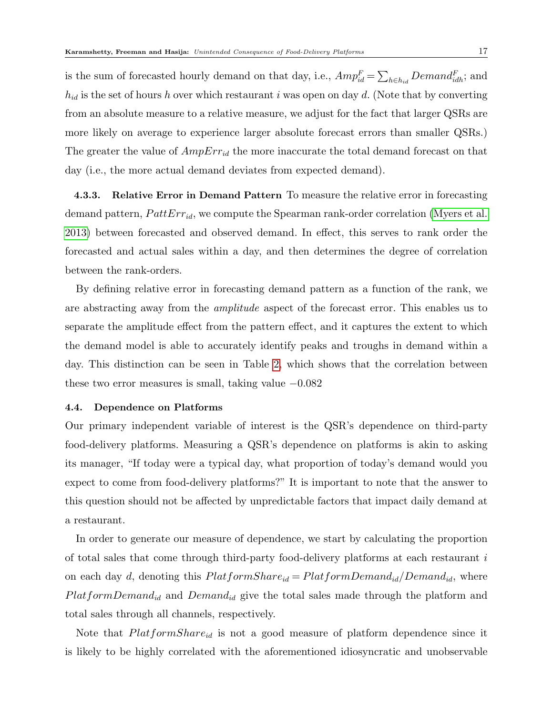is the sum of forecasted hourly demand on that day, i.e.,  $Amp_{id}^F = \sum_{h \in h_{id}} demand_{idh}^F$ ; and  $h_{id}$  is the set of hours h over which restaurant i was open on day d. (Note that by converting from an absolute measure to a relative measure, we adjust for the fact that larger QSRs are more likely on average to experience larger absolute forecast errors than smaller QSRs.) The greater the value of  $AmpErr_{id}$  the more inaccurate the total demand forecast on that day (i.e., the more actual demand deviates from expected demand).

4.3.3. Relative Error in Demand Pattern To measure the relative error in forecasting demand pattern,  $PattErr_{id}$ , we compute the Spearman rank-order correlation [\(Myers et al.](#page-32-9) [2013\)](#page-32-9) between forecasted and observed demand. In effect, this serves to rank order the forecasted and actual sales within a day, and then determines the degree of correlation between the rank-orders.

By defining relative error in forecasting demand pattern as a function of the rank, we are abstracting away from the amplitude aspect of the forecast error. This enables us to separate the amplitude effect from the pattern effect, and it captures the extent to which the demand model is able to accurately identify peaks and troughs in demand within a day. This distinction can be seen in Table [2,](#page-20-1) which shows that the correlation between these two error measures is small, taking value  $-0.082$ 

#### <span id="page-17-0"></span>4.4. Dependence on Platforms

Our primary independent variable of interest is the QSR's dependence on third-party food-delivery platforms. Measuring a QSR's dependence on platforms is akin to asking its manager, "If today were a typical day, what proportion of today's demand would you expect to come from food-delivery platforms?" It is important to note that the answer to this question should not be affected by unpredictable factors that impact daily demand at a restaurant.

In order to generate our measure of dependence, we start by calculating the proportion of total sales that come through third-party food-delivery platforms at each restaurant i on each day d, denoting this  $PlatformShare_{id} = PlatformDemand_{id}/Demand_{id}$ , where  $PlatformDemand_{id}$  and  $Demand_{id}$  give the total sales made through the platform and total sales through all channels, respectively.

Note that  $PlatformShare_{id}$  is not a good measure of platform dependence since it is likely to be highly correlated with the aforementioned idiosyncratic and unobservable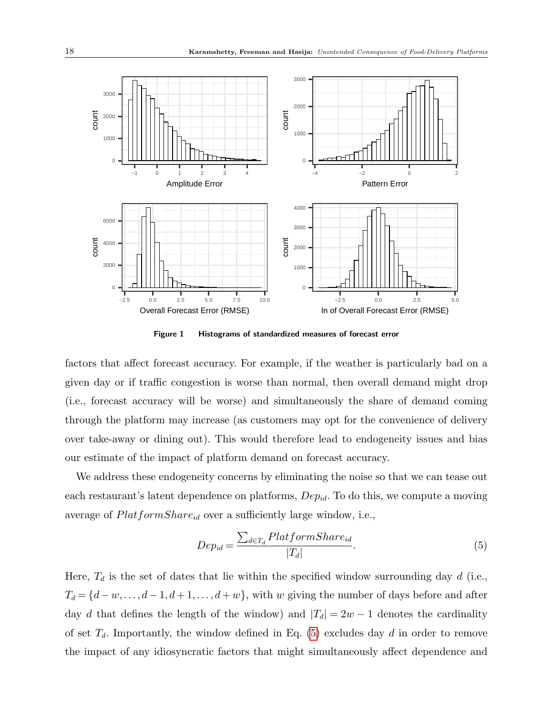

<span id="page-18-0"></span>Figure 1 Histograms of standardized measures of forecast error

factors that affect forecast accuracy. For example, if the weather is particularly bad on a given day or if traffic congestion is worse than normal, then overall demand might drop (i.e., forecast accuracy will be worse) and simultaneously the share of demand coming through the platform may increase (as customers may opt for the convenience of delivery over take-away or dining out). This would therefore lead to endogeneity issues and bias our estimate of the impact of platform demand on forecast accuracy.

We address these endogeneity concerns by eliminating the noise so that we can tease out each restaurant's latent dependence on platforms,  $Dep_{id}$ . To do this, we compute a moving average of  $PlatformShare_{id}$  over a sufficiently large window, i.e.,

<span id="page-18-1"></span>
$$
Dep_{id} = \frac{\sum_{d \in T_d}PlatformShare_{id}}{|T_d|}.
$$
\n
$$
(5)
$$

Here,  $T_d$  is the set of dates that lie within the specified window surrounding day d (i.e.,  $T_d = \{d - w, \ldots, d - 1, d + 1, \ldots, d + w\}$ , with w giving the number of days before and after day d that defines the length of the window) and  $|T_d| = 2w - 1$  denotes the cardinality of set  $T_d$ . Importantly, the window defined in Eq. [\(5\)](#page-18-1) excludes day d in order to remove the impact of any idiosyncratic factors that might simultaneously affect dependence and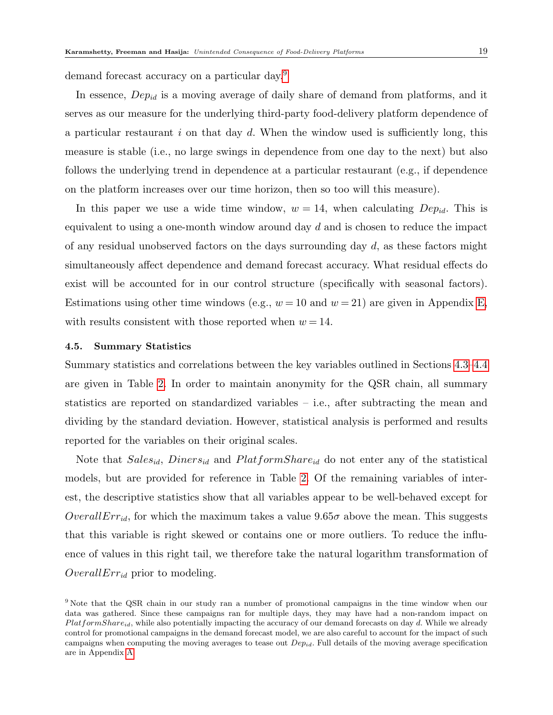demand forecast accuracy on a particular day.[9](#page-1-0)

In essence,  $Dep_{id}$  is a moving average of daily share of demand from platforms, and it serves as our measure for the underlying third-party food-delivery platform dependence of a particular restaurant  $i$  on that day  $d$ . When the window used is sufficiently long, this measure is stable (i.e., no large swings in dependence from one day to the next) but also follows the underlying trend in dependence at a particular restaurant (e.g., if dependence on the platform increases over our time horizon, then so too will this measure).

In this paper we use a wide time window,  $w = 14$ , when calculating  $Dep_{id}$ . This is equivalent to using a one-month window around day  $d$  and is chosen to reduce the impact of any residual unobserved factors on the days surrounding day  $d$ , as these factors might simultaneously affect dependence and demand forecast accuracy. What residual effects do exist will be accounted for in our control structure (specifically with seasonal factors). Estimations using other time windows (e.g.,  $w = 10$  and  $w = 21$ ) are given in Appendix [E,](#page-20-2) with results consistent with those reported when  $w = 14$ .

#### 4.5. Summary Statistics

Summary statistics and correlations between the key variables outlined in Sections [4.3–](#page-16-0)[4.4](#page-17-0) are given in Table [2.](#page-20-1) In order to maintain anonymity for the QSR chain, all summary statistics are reported on standardized variables – i.e., after subtracting the mean and dividing by the standard deviation. However, statistical analysis is performed and results reported for the variables on their original scales.

Note that  $Sales_{id}$ ,  $Diners_{id}$  and  $PlatformShare_{id}$  do not enter any of the statistical models, but are provided for reference in Table [2.](#page-20-1) Of the remaining variables of interest, the descriptive statistics show that all variables appear to be well-behaved except for  $OverallErr_{id}$ , for which the maximum takes a value  $9.65\sigma$  above the mean. This suggests that this variable is right skewed or contains one or more outliers. To reduce the influence of values in this right tail, we therefore take the natural logarithm transformation of OverallErr<sub>id</sub> prior to modeling.

<sup>9</sup> Note that the QSR chain in our study ran a number of promotional campaigns in the time window when our data was gathered. Since these campaigns ran for multiple days, they may have had a non-random impact on  $PlatformShare_{id}$ , while also potentially impacting the accuracy of our demand forecasts on day d. While we already control for promotional campaigns in the demand forecast model, we are also careful to account for the impact of such campaigns when computing the moving averages to tease out  $Dep_{id}$ . Full details of the moving average specification are in Appendix [A.](#page-1-1)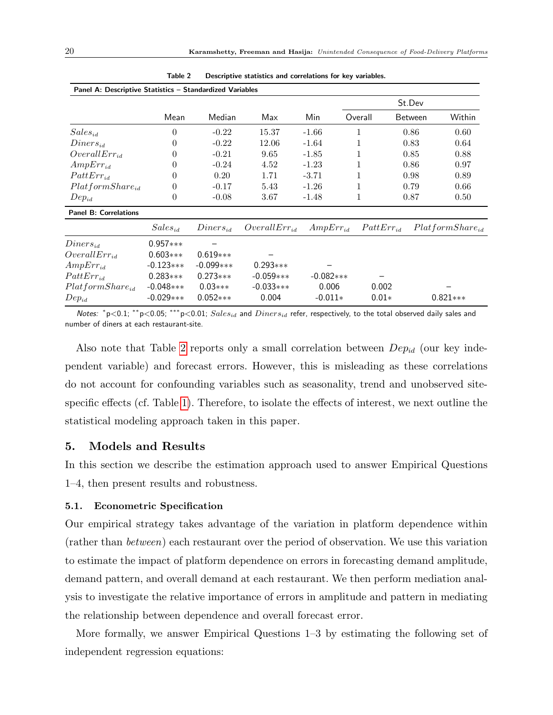<span id="page-20-1"></span>

|                              |                |               |                   |               |                | St.Dev         |                       |
|------------------------------|----------------|---------------|-------------------|---------------|----------------|----------------|-----------------------|
|                              | Mean           | Median        | Max               | Min           | Overall        | <b>Between</b> | Within                |
| $Sales_{id}$                 | $\theta$       | $-0.22$       | 15.37             | $-1.66$       | 1              | 0.86           | 0.60                  |
| $Diners_{id}$                | $\Omega$       | $-0.22$       | 12.06             | $-1.64$       |                | 0.83           | 0.64                  |
| $OverallErr_{id}$            | 0              | $-0.21$       | 9.65              | $-1.85$       |                | 0.85           | 0.88                  |
| $AmpErr_{id}$                | $\Omega$       | $-0.24$       | 4.52              | $-1.23$       | 1              | 0.86           | 0.97                  |
| $PattErr_{id}$               | 0              | 0.20          | 1.71              | $-3.71$       | 1              | 0.98           | 0.89                  |
| $PlatformShare_{id}$         | 0              | $-0.17$       | 5.43              | $-1.26$       |                | 0.79           | 0.66                  |
| $Dep_{id}$                   | $\overline{0}$ | $-0.08$       | 3.67              | $-1.48$       | 1              | 0.87           | 0.50                  |
| <b>Panel B: Correlations</b> |                |               |                   |               |                |                |                       |
|                              | $Sales_{id}$   | $Diners_{id}$ | $OverallErr_{id}$ | $AmpErr_{id}$ | $Pattern_{id}$ |                | $Plat formShare_{id}$ |
| $Diners_{id}$                | $0.957***$     |               |                   |               |                |                |                       |
| $OverallErr_{id}$            | $0.603***$     | $0.619***$    |                   |               |                |                |                       |
| $AmpErr_{id}$                | $-0.123***$    | $-0.099***$   | $0.293***$        |               |                |                |                       |
| $PattErr_{id}$               | $0.283***$     | $0.273***$    | $-0.059***$       | $-0.082***$   |                |                |                       |
| $Plat formShare_{id}$        | $-0.048***$    | $0.03***$     | $-0.033***$       | 0.006         | 0.002          |                |                       |
| $Dep_{id}$                   | $-0.029***$    | $0.052***$    | 0.004             | $-0.011*$     | $0.01*$        |                | $0.821***$            |

Table 2 Descriptive statistics and correlations for key variables.

Notes:  $*p<0.1$ ; \*\* $p<0.05$ ; \*\*\* $p<0.01$ ;  $Sales_{id}$  and  $Diners_{id}$  refer, respectively, to the total observed daily sales and number of diners at each restaurant-site.

Also note that Table [2](#page-20-1) reports only a small correlation between  $Dep_{id}$  (our key independent variable) and forecast errors. However, this is misleading as these correlations do not account for confounding variables such as seasonality, trend and unobserved sitespecific effects (cf. Table [1\)](#page-14-1). Therefore, to isolate the effects of interest, we next outline the statistical modeling approach taken in this paper.

# <span id="page-20-2"></span>5. Models and Results

In this section we describe the estimation approach used to answer Empirical Questions 1–4, then present results and robustness.

#### <span id="page-20-0"></span>5.1. Econometric Specification

Our empirical strategy takes advantage of the variation in platform dependence within (rather than between) each restaurant over the period of observation. We use this variation to estimate the impact of platform dependence on errors in forecasting demand amplitude, demand pattern, and overall demand at each restaurant. We then perform mediation analysis to investigate the relative importance of errors in amplitude and pattern in mediating the relationship between dependence and overall forecast error.

More formally, we answer Empirical Questions 1–3 by estimating the following set of independent regression equations: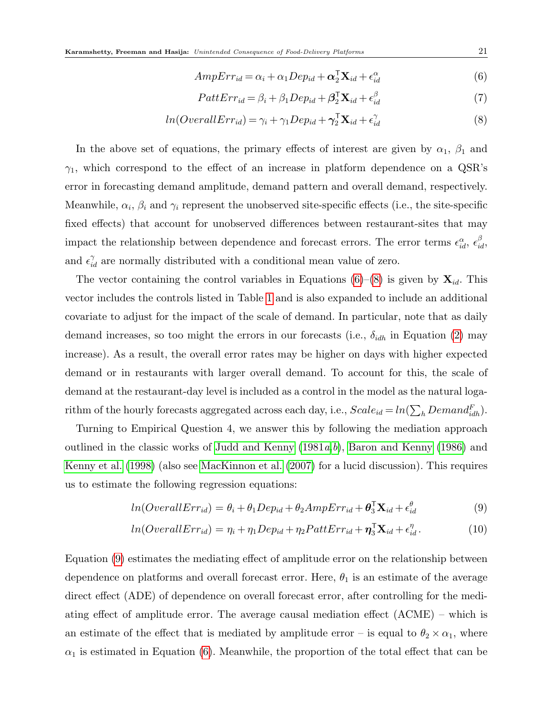<span id="page-21-0"></span>
$$
AmpErr_{id} = \alpha_i + \alpha_1 Dep_{id} + \mathbf{\alpha}_2^{\mathsf{T}} \mathbf{X}_{id} + \epsilon_{id}^{\alpha}
$$
\n
$$
\tag{6}
$$

$$
PattErr_{id} = \beta_i + \beta_1 Dep_{id} + \beta_2^{\mathsf{T}} \mathbf{X}_{id} + \epsilon_{id}^{\beta} \tag{7}
$$

$$
ln(Overal Err_{id}) = \gamma_i + \gamma_1 Dep_{id} + \gamma_2^{\mathsf{T}} \mathbf{X}_{id} + \epsilon_{id}^{\gamma}
$$
\n
$$
(8)
$$

In the above set of equations, the primary effects of interest are given by  $\alpha_1$ ,  $\beta_1$  and  $\gamma_1$ , which correspond to the effect of an increase in platform dependence on a QSR's error in forecasting demand amplitude, demand pattern and overall demand, respectively. Meanwhile,  $\alpha_i$ ,  $\beta_i$  and  $\gamma_i$  represent the unobserved site-specific effects (i.e., the site-specific fixed effects) that account for unobserved differences between restaurant-sites that may impact the relationship between dependence and forecast errors. The error terms  $\epsilon_{id}^{\alpha}, \epsilon_{id}^{\beta}$ and  $\epsilon_{id}^{\gamma}$  are normally distributed with a conditional mean value of zero.

The vector containing the control variables in Equations [\(6\)](#page-21-0)–[\(8\)](#page-21-0) is given by  $\mathbf{X}_{id}$ . This vector includes the controls listed in Table [1](#page-14-1) and is also expanded to include an additional covariate to adjust for the impact of the scale of demand. In particular, note that as daily demand increases, so too might the errors in our forecasts (i.e.,  $\delta_{idh}$  in Equation [\(2\)](#page-16-1) may increase). As a result, the overall error rates may be higher on days with higher expected demand or in restaurants with larger overall demand. To account for this, the scale of demand at the restaurant-day level is included as a control in the model as the natural logarithm of the hourly forecasts aggregated across each day, i.e.,  $Scale_{id} = ln(\sum_{h} Demand_{idh}^{F}).$ 

Turning to Empirical Question 4, we answer this by following the mediation approach outlined in the classic works of [Judd and Kenny](#page-31-8)  $(1981a,b)$  $(1981a,b)$  $(1981a,b)$  $(1981a,b)$ , [Baron and Kenny](#page-29-14)  $(1986)$  and [Kenny et al.](#page-31-10) [\(1998\)](#page-31-10) (also see [MacKinnon et al.](#page-32-10) [\(2007\)](#page-32-10) for a lucid discussion). This requires us to estimate the following regression equations:

<span id="page-21-1"></span>
$$
ln(Overal Err_{id}) = \theta_i + \theta_1 Dep_{id} + \theta_2 AmpErr_{id} + \theta_3^{\mathsf{T}}\mathbf{X}_{id} + \epsilon_{id}^{\theta}
$$
\n(9)

$$
ln(OveralErr_{id}) = \eta_i + \eta_1 Dep_{id} + \eta_2 PatErr_{id} + \eta_3^{\mathsf{T}}\mathbf{X}_{id} + \epsilon_{id}^{\eta}. \tag{10}
$$

Equation [\(9\)](#page-21-1) estimates the mediating effect of amplitude error on the relationship between dependence on platforms and overall forecast error. Here,  $\theta_1$  is an estimate of the average direct effect (ADE) of dependence on overall forecast error, after controlling for the mediating effect of amplitude error. The average causal mediation effect (ACME) – which is an estimate of the effect that is mediated by amplitude error – is equal to  $\theta_2 \times \alpha_1$ , where  $\alpha_1$  is estimated in Equation [\(6\)](#page-21-0). Meanwhile, the proportion of the total effect that can be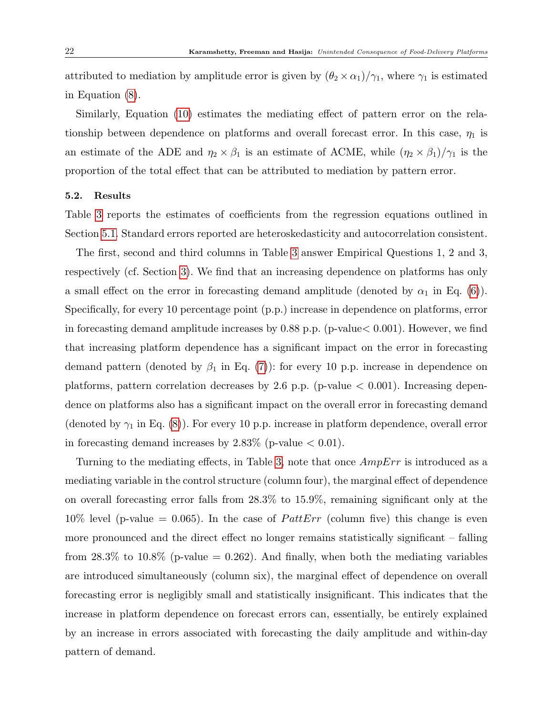attributed to mediation by amplitude error is given by  $(\theta_2 \times \alpha_1)/\gamma_1$ , where  $\gamma_1$  is estimated in Equation [\(8\)](#page-21-0).

Similarly, Equation [\(10\)](#page-21-1) estimates the mediating effect of pattern error on the relationship between dependence on platforms and overall forecast error. In this case,  $\eta_1$  is an estimate of the ADE and  $\eta_2 \times \beta_1$  is an estimate of ACME, while  $(\eta_2 \times \beta_1)/\gamma_1$  is the proportion of the total effect that can be attributed to mediation by pattern error.

#### <span id="page-22-0"></span>5.2. Results

Table [3](#page-24-0) reports the estimates of coefficients from the regression equations outlined in Section [5.1.](#page-20-0) Standard errors reported are heteroskedasticity and autocorrelation consistent.

The first, second and third columns in Table [3](#page-24-0) answer Empirical Questions 1, 2 and 3, respectively (cf. Section [3\)](#page-7-0). We find that an increasing dependence on platforms has only a small effect on the error in forecasting demand amplitude (denoted by  $\alpha_1$  in Eq. [\(6\)](#page-21-0)). Specifically, for every 10 percentage point (p.p.) increase in dependence on platforms, error in forecasting demand amplitude increases by  $0.88$  p.p. (p-value  $0.001$ ). However, we find that increasing platform dependence has a significant impact on the error in forecasting demand pattern (denoted by  $\beta_1$  in Eq. [\(7\)](#page-21-0)): for every 10 p.p. increase in dependence on platforms, pattern correlation decreases by 2.6 p.p. (p-value  $< 0.001$ ). Increasing dependence on platforms also has a significant impact on the overall error in forecasting demand (denoted by  $\gamma_1$  in Eq. [\(8\)](#page-21-0)). For every 10 p.p. increase in platform dependence, overall error in forecasting demand increases by  $2.83\%$  (p-value  $< 0.01$ ).

Turning to the mediating effects, in Table [3,](#page-24-0) note that once AmpErr is introduced as a mediating variable in the control structure (column four), the marginal effect of dependence on overall forecasting error falls from 28.3% to 15.9%, remaining significant only at the 10% level (p-value = 0.065). In the case of *PattErr* (column five) this change is even more pronounced and the direct effect no longer remains statistically significant – falling from  $28.3\%$  to  $10.8\%$  (p-value = 0.262). And finally, when both the mediating variables are introduced simultaneously (column six), the marginal effect of dependence on overall forecasting error is negligibly small and statistically insignificant. This indicates that the increase in platform dependence on forecast errors can, essentially, be entirely explained by an increase in errors associated with forecasting the daily amplitude and within-day pattern of demand.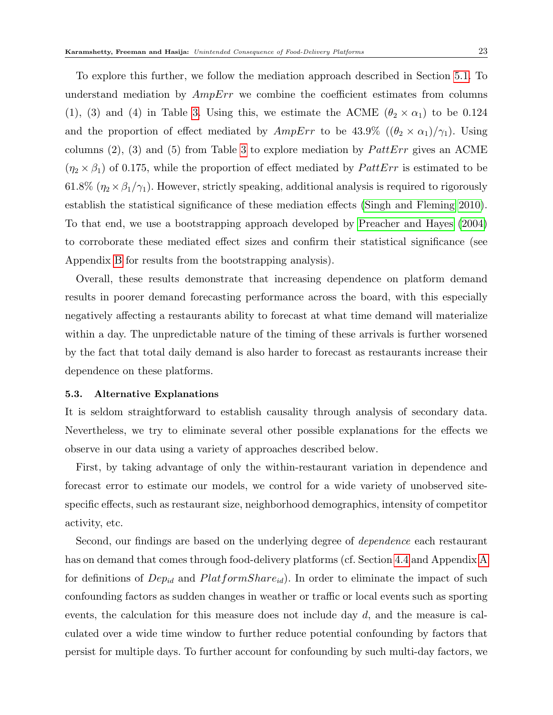To explore this further, we follow the mediation approach described in Section [5.1.](#page-20-0) To understand mediation by  $AmpErr$  we combine the coefficient estimates from columns (1), (3) and (4) in Table [3.](#page-24-0) Using this, we estimate the ACME ( $\theta_2 \times \alpha_1$ ) to be 0.124 and the proportion of effect mediated by  $AmpErr$  to be 43.9%  $((\theta_2 \times \alpha_1)/\gamma_1)$ . Using columns  $(2)$ ,  $(3)$  and  $(5)$  from Table [3](#page-24-0) to explore mediation by *PattErr* gives an ACME  $(\eta_2 \times \beta_1)$  of 0.175, while the proportion of effect mediated by  $PattErr$  is estimated to be 61.8% ( $\eta_2 \times \beta_1/\gamma_1$ ). However, strictly speaking, additional analysis is required to rigorously establish the statistical significance of these mediation effects [\(Singh and Fleming 2010\)](#page-33-11). To that end, we use a bootstrapping approach developed by [Preacher and Hayes](#page-33-12) [\(2004\)](#page-33-12) to corroborate these mediated effect sizes and confirm their statistical significance (see Appendix [B](#page-4-0) for results from the bootstrapping analysis).

Overall, these results demonstrate that increasing dependence on platform demand results in poorer demand forecasting performance across the board, with this especially negatively affecting a restaurants ability to forecast at what time demand will materialize within a day. The unpredictable nature of the timing of these arrivals is further worsened by the fact that total daily demand is also harder to forecast as restaurants increase their dependence on these platforms.

#### 5.3. Alternative Explanations

It is seldom straightforward to establish causality through analysis of secondary data. Nevertheless, we try to eliminate several other possible explanations for the effects we observe in our data using a variety of approaches described below.

First, by taking advantage of only the within-restaurant variation in dependence and forecast error to estimate our models, we control for a wide variety of unobserved sitespecific effects, such as restaurant size, neighborhood demographics, intensity of competitor activity, etc.

Second, our findings are based on the underlying degree of dependence each restaurant has on demand that comes through food-delivery platforms (cf. Section [4.4](#page-17-0) and Appendix [A](#page-1-1) for definitions of  $Dep_{id}$  and  $PlatformShare_{id}$ . In order to eliminate the impact of such confounding factors as sudden changes in weather or traffic or local events such as sporting events, the calculation for this measure does not include day  $d$ , and the measure is calculated over a wide time window to further reduce potential confounding by factors that persist for multiple days. To further account for confounding by such multi-day factors, we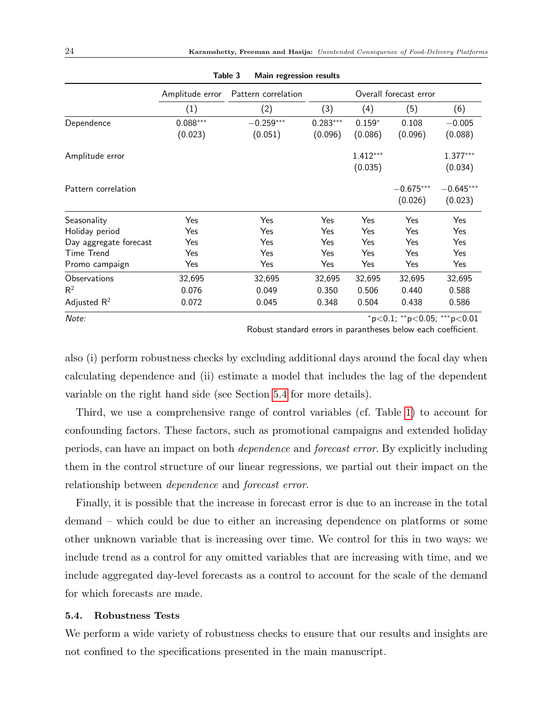<span id="page-24-0"></span>

|                        | Amplitude error | Pattern correlation |            | Overall forecast error |             |             |
|------------------------|-----------------|---------------------|------------|------------------------|-------------|-------------|
|                        | (1)             | (2)                 | (3)        | (4)                    | (5)         | (6)         |
| Dependence             | $0.088***$      | $-0.259***$         | $0.283***$ | $0.159*$               | 0.108       | $-0.005$    |
|                        | (0.023)         | (0.051)             | (0.096)    | (0.086)                | (0.096)     | (0.088)     |
| Amplitude error        |                 |                     |            | $1.412***$             |             | $1.377***$  |
|                        |                 |                     |            | (0.035)                |             | (0.034)     |
| Pattern correlation    |                 |                     |            |                        | $-0.675***$ | $-0.645***$ |
|                        |                 |                     |            |                        | (0.026)     | (0.023)     |
| Seasonality            | Yes             | Yes                 | Yes        | Yes                    | Yes         | Yes         |
| Holiday period         | Yes             | Yes                 | Yes        | Yes                    | Yes         | Yes         |
| Day aggregate forecast | Yes             | Yes                 | Yes        | Yes                    | Yes         | Yes         |
| <b>Time Trend</b>      | Yes             | Yes                 | Yes        | Yes                    | Yes         | Yes         |
| Promo campaign         | Yes             | Yes                 | Yes        | Yes                    | Yes         | Yes         |
| Observations           | 32,695          | 32,695              | 32,695     | 32,695                 | 32,695      | 32,695      |
| $R^2$                  | 0.076           | 0.049               | 0.350      | 0.506                  | 0.440       | 0.588       |
| Adjusted $R^2$         | 0.072           | 0.045               | 0.348      | 0.504                  | 0.438       | 0.586       |
|                        |                 |                     |            |                        |             |             |

Table 3 Main regression results

 $\text{Note:} \quad \text{``p<0.05;} \quad \text{``p<0.01;} \quad \text{``p<0.05;} \quad \text{``p<0.01;}$ 

Robust standard errors in parantheses below each coefficient.

also (i) perform robustness checks by excluding additional days around the focal day when calculating dependence and (ii) estimate a model that includes the lag of the dependent variable on the right hand side (see Section [5.4](#page-24-1) for more details).

Third, we use a comprehensive range of control variables (cf. Table [1\)](#page-14-1) to account for confounding factors. These factors, such as promotional campaigns and extended holiday periods, can have an impact on both dependence and forecast error. By explicitly including them in the control structure of our linear regressions, we partial out their impact on the relationship between dependence and forecast error.

Finally, it is possible that the increase in forecast error is due to an increase in the total demand – which could be due to either an increasing dependence on platforms or some other unknown variable that is increasing over time. We control for this in two ways: we include trend as a control for any omitted variables that are increasing with time, and we include aggregated day-level forecasts as a control to account for the scale of the demand for which forecasts are made.

#### <span id="page-24-1"></span>5.4. Robustness Tests

We perform a wide variety of robustness checks to ensure that our results and insights are not confined to the specifications presented in the main manuscript.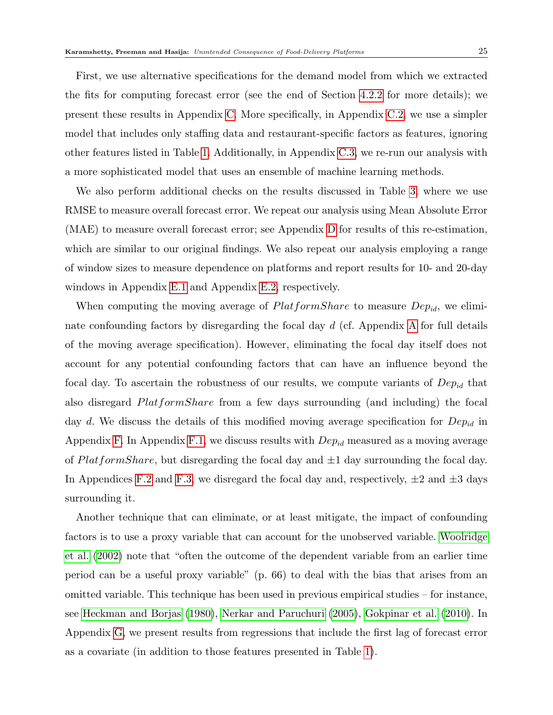First, we use alternative specifications for the demand model from which we extracted the fits for computing forecast error (see the end of Section [4.2.2](#page-14-0) for more details); we present these results in Appendix [C.](#page-7-0) More specifically, in Appendix [C.2,](#page-9-1) we use a simpler model that includes only staffing data and restaurant-specific factors as features, ignoring other features listed in Table [1.](#page-14-1) Additionally, in Appendix [C.3,](#page-10-0) we re-run our analysis with a more sophisticated model that uses an ensemble of machine learning methods.

We also perform additional checks on the results discussed in Table [3,](#page-24-0) where we use RMSE to measure overall forecast error. We repeat our analysis using Mean Absolute Error (MAE) to measure overall forecast error; see Appendix [D](#page-11-0) for results of this re-estimation, which are similar to our original findings. We also repeat our analysis employing a range of window sizes to measure dependence on platforms and report results for 10- and 20-day windows in Appendix [E.1](#page-20-0) and Appendix [E.2,](#page-22-0) respectively.

When computing the moving average of  $PlatformShare$  to measure  $Dep_{id}$ , we eliminate confounding factors by disregarding the focal day  $d$  (cf. [A](#page-1-1)ppendix A for full details of the moving average specification). However, eliminating the focal day itself does not account for any potential confounding factors that can have an influence beyond the focal day. To ascertain the robustness of our results, we compute variants of  $Dep_{id}$  that also disregard PlatformShare from a few days surrounding (and including) the focal day d. We discuss the details of this modified moving average specification for  $Dep_{id}$  in Appendix [F.](#page-26-0) In Appendix [F.1,](#page-43-0) we discuss results with  $Dep_{id}$  measured as a moving average of  $PlatformShare$ , but disregarding the focal day and  $\pm 1$  day surrounding the focal day. In Appendices [F.2](#page-44-0) and [F.3,](#page-45-0) we disregard the focal day and, respectively,  $\pm 2$  and  $\pm 3$  days surrounding it.

Another technique that can eliminate, or at least mitigate, the impact of confounding factors is to use a proxy variable that can account for the unobserved variable. [Woolridge](#page-34-8) [et al.](#page-34-8) [\(2002\)](#page-34-8) note that "often the outcome of the dependent variable from an earlier time period can be a useful proxy variable" (p. 66) to deal with the bias that arises from an omitted variable. This technique has been used in previous empirical studies – for instance, see [Heckman and Borjas](#page-31-11) [\(1980\)](#page-31-11), [Nerkar and Paruchuri](#page-32-11) [\(2005\)](#page-32-11), [Gokpinar et al.](#page-31-12) [\(2010\)](#page-31-12). In Appendix [G,](#page-46-0) we present results from regressions that include the first lag of forecast error as a covariate (in addition to those features presented in Table [1\)](#page-14-1).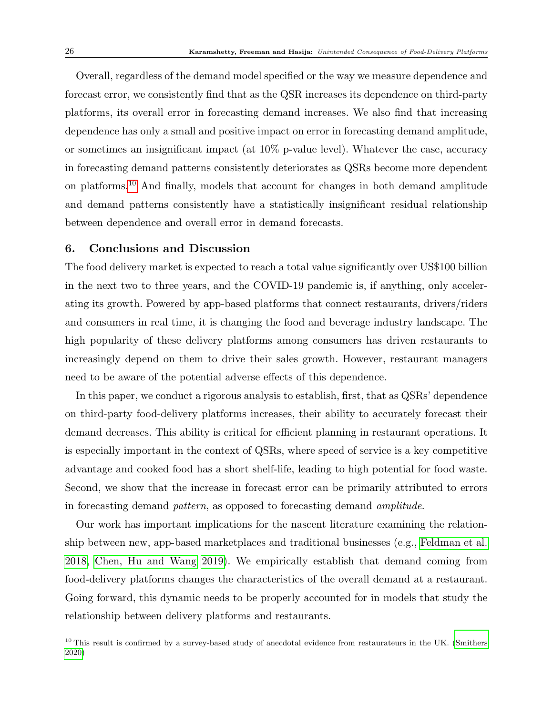Overall, regardless of the demand model specified or the way we measure dependence and forecast error, we consistently find that as the QSR increases its dependence on third-party platforms, its overall error in forecasting demand increases. We also find that increasing dependence has only a small and positive impact on error in forecasting demand amplitude, or sometimes an insignificant impact (at  $10\%$  p-value level). Whatever the case, accuracy in forecasting demand patterns consistently deteriorates as QSRs become more dependent on platforms.[10](#page-1-0) And finally, models that account for changes in both demand amplitude and demand patterns consistently have a statistically insignificant residual relationship between dependence and overall error in demand forecasts.

#### <span id="page-26-0"></span>6. Conclusions and Discussion

The food delivery market is expected to reach a total value significantly over US\$100 billion in the next two to three years, and the COVID-19 pandemic is, if anything, only accelerating its growth. Powered by app-based platforms that connect restaurants, drivers/riders and consumers in real time, it is changing the food and beverage industry landscape. The high popularity of these delivery platforms among consumers has driven restaurants to increasingly depend on them to drive their sales growth. However, restaurant managers need to be aware of the potential adverse effects of this dependence.

In this paper, we conduct a rigorous analysis to establish, first, that as QSRs' dependence on third-party food-delivery platforms increases, their ability to accurately forecast their demand decreases. This ability is critical for efficient planning in restaurant operations. It is especially important in the context of QSRs, where speed of service is a key competitive advantage and cooked food has a short shelf-life, leading to high potential for food waste. Second, we show that the increase in forecast error can be primarily attributed to errors in forecasting demand pattern, as opposed to forecasting demand amplitude.

Our work has important implications for the nascent literature examining the relationship between new, app-based marketplaces and traditional businesses (e.g., [Feldman et al.](#page-30-10) [2018,](#page-30-10) [Chen, Hu and Wang 2019\)](#page-30-11). We empirically establish that demand coming from food-delivery platforms changes the characteristics of the overall demand at a restaurant. Going forward, this dynamic needs to be properly accounted for in models that study the relationship between delivery platforms and restaurants.

 $10$  This result is confirmed by a survey-based study of anecdotal evidence from restaurateurs in the UK. [\(Smithers](#page-33-13) [2020\)](#page-33-13)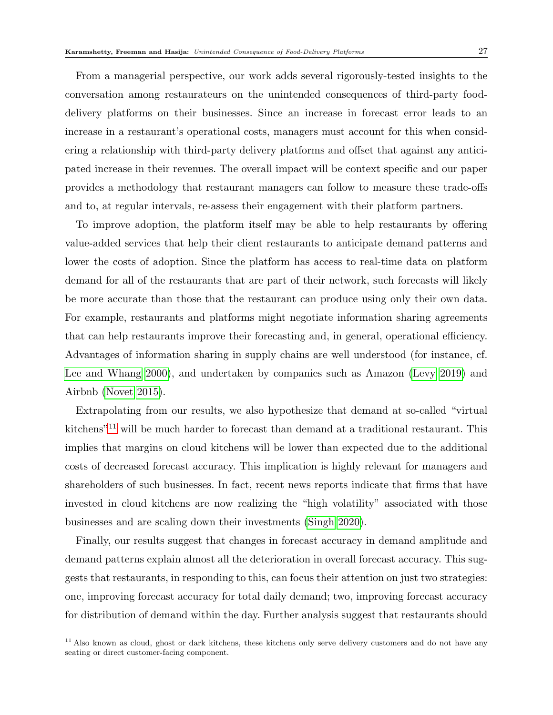From a managerial perspective, our work adds several rigorously-tested insights to the conversation among restaurateurs on the unintended consequences of third-party fooddelivery platforms on their businesses. Since an increase in forecast error leads to an increase in a restaurant's operational costs, managers must account for this when considering a relationship with third-party delivery platforms and offset that against any anticipated increase in their revenues. The overall impact will be context specific and our paper provides a methodology that restaurant managers can follow to measure these trade-offs and to, at regular intervals, re-assess their engagement with their platform partners.

To improve adoption, the platform itself may be able to help restaurants by offering value-added services that help their client restaurants to anticipate demand patterns and lower the costs of adoption. Since the platform has access to real-time data on platform demand for all of the restaurants that are part of their network, such forecasts will likely be more accurate than those that the restaurant can produce using only their own data. For example, restaurants and platforms might negotiate information sharing agreements that can help restaurants improve their forecasting and, in general, operational efficiency. Advantages of information sharing in supply chains are well understood (for instance, cf. [Lee and Whang 2000\)](#page-32-12), and undertaken by companies such as Amazon [\(Levy 2019\)](#page-32-13) and Airbnb [\(Novet 2015\)](#page-32-14).

Extrapolating from our results, we also hypothesize that demand at so-called "virtual kitchens"<sup>[11](#page-1-0)</sup> will be much harder to forecast than demand at a traditional restaurant. This implies that margins on cloud kitchens will be lower than expected due to the additional costs of decreased forecast accuracy. This implication is highly relevant for managers and shareholders of such businesses. In fact, recent news reports indicate that firms that have invested in cloud kitchens are now realizing the "high volatility" associated with those businesses and are scaling down their investments [\(Singh 2020\)](#page-33-14).

Finally, our results suggest that changes in forecast accuracy in demand amplitude and demand patterns explain almost all the deterioration in overall forecast accuracy. This suggests that restaurants, in responding to this, can focus their attention on just two strategies: one, improving forecast accuracy for total daily demand; two, improving forecast accuracy for distribution of demand within the day. Further analysis suggest that restaurants should

 $11$  Also known as cloud, ghost or dark kitchens, these kitchens only serve delivery customers and do not have any seating or direct customer-facing component.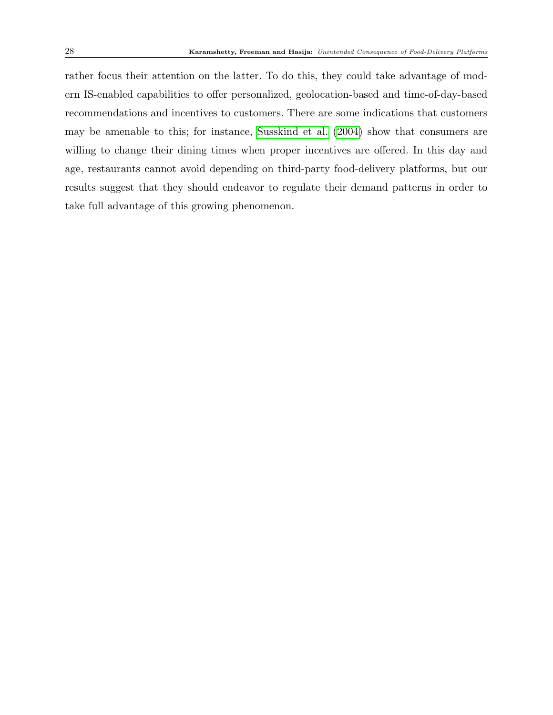rather focus their attention on the latter. To do this, they could take advantage of modern IS-enabled capabilities to offer personalized, geolocation-based and time-of-day-based recommendations and incentives to customers. There are some indications that customers may be amenable to this; for instance, [Susskind et al.](#page-33-15) [\(2004\)](#page-33-15) show that consumers are willing to change their dining times when proper incentives are offered. In this day and age, restaurants cannot avoid depending on third-party food-delivery platforms, but our results suggest that they should endeavor to regulate their demand patterns in order to take full advantage of this growing phenomenon.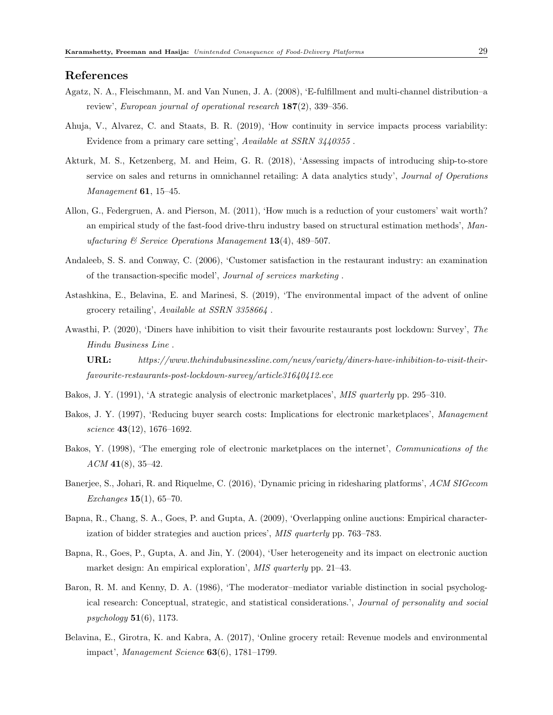#### <span id="page-29-8"></span>References

- Agatz, N. A., Fleischmann, M. and Van Nunen, J. A. (2008), 'E-fulfillment and multi-channel distribution–a review', European journal of operational research 187(2), 339–356.
- <span id="page-29-13"></span>Ahuja, V., Alvarez, C. and Staats, B. R. (2019), 'How continuity in service impacts process variability: Evidence from a primary care setting', Available at SSRN 3440355 .
- <span id="page-29-7"></span>Akturk, M. S., Ketzenberg, M. and Heim, G. R. (2018), 'Assessing impacts of introducing ship-to-store service on sales and returns in omnichannel retailing: A data analytics study', *Journal of Operations* Management **61**, 15–45.
- <span id="page-29-11"></span>Allon, G., Federgruen, A. and Pierson, M. (2011), 'How much is a reduction of your customers' wait worth? an empirical study of the fast-food drive-thru industry based on structural estimation methods', Manufacturing  $\mathcal C$  Service Operations Management 13(4), 489-507.
- <span id="page-29-12"></span>Andaleeb, S. S. and Conway, C. (2006), 'Customer satisfaction in the restaurant industry: an examination of the transaction-specific model', Journal of services marketing .
- <span id="page-29-10"></span>Astashkina, E., Belavina, E. and Marinesi, S. (2019), 'The environmental impact of the advent of online grocery retailing', Available at SSRN 3358664 .
- <span id="page-29-0"></span>Awasthi, P. (2020), 'Diners have inhibition to visit their favourite restaurants post lockdown: Survey', The Hindu Business Line .

URL: https://www.thehindubusinessline.com/news/variety/diners-have-inhibition-to-visit-theirfavourite-restaurants-post-lockdown-survey/article31640412.ece

- <span id="page-29-2"></span>Bakos, J. Y. (1991), 'A strategic analysis of electronic marketplaces', MIS quarterly pp. 295–310.
- <span id="page-29-1"></span>Bakos, J. Y. (1997), 'Reducing buyer search costs: Implications for electronic marketplaces', Management science **43**(12), 1676-1692.
- <span id="page-29-3"></span>Bakos, Y. (1998), 'The emerging role of electronic marketplaces on the internet', Communications of the  $ACM$  41(8), 35–42.
- <span id="page-29-6"></span>Banerjee, S., Johari, R. and Riquelme, C. (2016), 'Dynamic pricing in ridesharing platforms', ACM SIGecom Exchanges  $15(1)$ , 65-70.
- <span id="page-29-5"></span>Bapna, R., Chang, S. A., Goes, P. and Gupta, A. (2009), 'Overlapping online auctions: Empirical characterization of bidder strategies and auction prices', MIS quarterly pp. 763–783.
- <span id="page-29-4"></span>Bapna, R., Goes, P., Gupta, A. and Jin, Y. (2004), 'User heterogeneity and its impact on electronic auction market design: An empirical exploration', MIS quarterly pp. 21–43.
- <span id="page-29-14"></span>Baron, R. M. and Kenny, D. A. (1986), 'The moderator–mediator variable distinction in social psychological research: Conceptual, strategic, and statistical considerations.', Journal of personality and social  $psychology$  51(6), 1173.
- <span id="page-29-9"></span>Belavina, E., Girotra, K. and Kabra, A. (2017), 'Online grocery retail: Revenue models and environmental impact', Management Science 63(6), 1781–1799.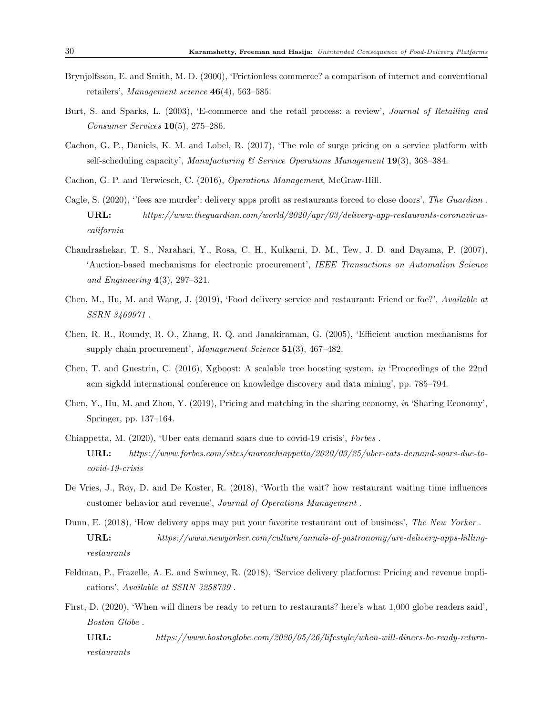- <span id="page-30-5"></span>Brynjolfsson, E. and Smith, M. D. (2000), 'Frictionless commerce? a comparison of internet and conventional retailers', *Management science*  $46(4)$ , 563–585.
- <span id="page-30-12"></span>Burt, S. and Sparks, L. (2003), 'E-commerce and the retail process: a review', Journal of Retailing and Consumer Services 10(5), 275–286.
- <span id="page-30-8"></span>Cachon, G. P., Daniels, K. M. and Lobel, R. (2017), 'The role of surge pricing on a service platform with self-scheduling capacity', Manufacturing  $\mathcal C$  Service Operations Management 19(3), 368–384.
- <span id="page-30-13"></span>Cachon, G. P. and Terwiesch, C. (2016), Operations Management, McGraw-Hill.
- <span id="page-30-4"></span>Cagle, S. (2020), "fees are murder": delivery apps profit as restaurants forced to close doors', The Guardian. URL: https://www.theguardian.com/world/2020/apr/03/delivery-app-restaurants-coronaviruscalifornia
- <span id="page-30-7"></span>Chandrashekar, T. S., Narahari, Y., Rosa, C. H., Kulkarni, D. M., Tew, J. D. and Dayama, P. (2007), 'Auction-based mechanisms for electronic procurement', IEEE Transactions on Automation Science and Engineering  $4(3)$ , 297–321.
- <span id="page-30-11"></span>Chen, M., Hu, M. and Wang, J. (2019), 'Food delivery service and restaurant: Friend or foe?', Available at SSRN 3469971 .
- <span id="page-30-6"></span>Chen, R. R., Roundy, R. O., Zhang, R. Q. and Janakiraman, G. (2005), 'Efficient auction mechanisms for supply chain procurement', Management Science 51(3), 467-482.
- <span id="page-30-14"></span>Chen, T. and Guestrin, C. (2016), Xgboost: A scalable tree boosting system, in 'Proceedings of the 22nd acm sigkdd international conference on knowledge discovery and data mining', pp. 785–794.
- <span id="page-30-9"></span>Chen, Y., Hu, M. and Zhou, Y. (2019), Pricing and matching in the sharing economy, in 'Sharing Economy', Springer, pp. 137–164.
- <span id="page-30-1"></span>Chiappetta, M. (2020), 'Uber eats demand soars due to covid-19 crisis', Forbes . URL: https://www.forbes.com/sites/marcochiappetta/2020/03/25/uber-eats-demand-soars-due-tocovid-19-crisis
- <span id="page-30-0"></span>De Vries, J., Roy, D. and De Koster, R. (2018), 'Worth the wait? how restaurant waiting time influences customer behavior and revenue', Journal of Operations Management .
- <span id="page-30-3"></span>Dunn, E. (2018), 'How delivery apps may put your favorite restaurant out of business', The New Yorker . URL: https://www.newyorker.com/culture/annals-of-gastronomy/are-delivery-apps-killingrestaurants
- <span id="page-30-10"></span>Feldman, P., Frazelle, A. E. and Swinney, R. (2018), 'Service delivery platforms: Pricing and revenue implications', Available at SSRN 3258739 .
- <span id="page-30-2"></span>First, D. (2020), 'When will diners be ready to return to restaurants? here's what 1,000 globe readers said', Boston Globe .

URL: https://www.bostonglobe.com/2020/05/26/lifestyle/when-will-diners-be-ready-returnrestaurants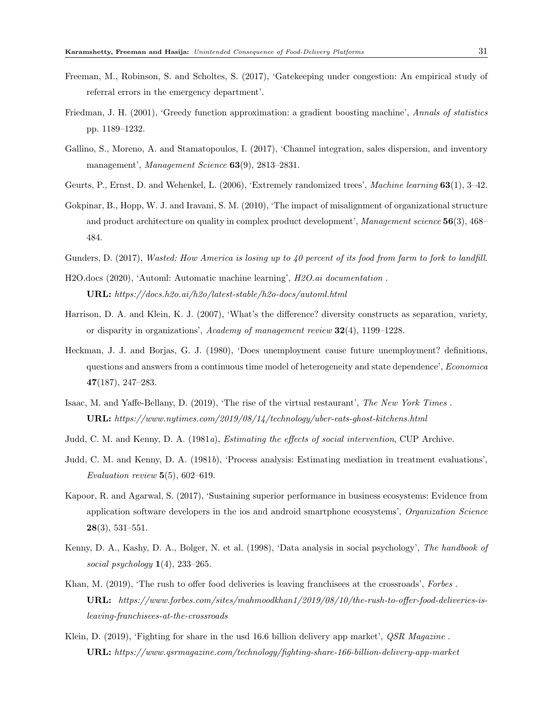- <span id="page-31-6"></span>Freeman, M., Robinson, S. and Scholtes, S. (2017), 'Gatekeeping under congestion: An empirical study of referral errors in the emergency department'.
- <span id="page-31-14"></span>Friedman, J. H. (2001), 'Greedy function approximation: a gradient boosting machine', Annals of statistics pp. 1189–1232.
- <span id="page-31-4"></span>Gallino, S., Moreno, A. and Stamatopoulos, I. (2017), 'Channel integration, sales dispersion, and inventory management', Management Science 63(9), 2813-2831.
- <span id="page-31-15"></span>Geurts, P., Ernst, D. and Wehenkel, L. (2006), 'Extremely randomized trees', Machine learning 63(1), 3–42.
- <span id="page-31-12"></span>Gokpinar, B., Hopp, W. J. and Iravani, S. M. (2010), 'The impact of misalignment of organizational structure and product architecture on quality in complex product development', Management science 56(3), 468– 484.
- <span id="page-31-0"></span>Gunders, D. (2017), Wasted: How America is losing up to 40 percent of its food from farm to fork to landfill.
- <span id="page-31-13"></span>H2O.docs (2020), 'Automl: Automatic machine learning', H2O.ai documentation . URL: https://docs.h2o.ai/h2o/latest-stable/h2o-docs/automl.html
- <span id="page-31-7"></span>Harrison, D. A. and Klein, K. J. (2007), 'What's the difference? diversity constructs as separation, variety, or disparity in organizations', Academy of management review  $32(4)$ , 1199–1228.
- <span id="page-31-11"></span>Heckman, J. J. and Borjas, G. J. (1980), 'Does unemployment cause future unemployment? definitions, questions and answers from a continuous time model of heterogeneity and state dependence', Economica 47(187), 247–283.
- <span id="page-31-5"></span>Isaac, M. and Yaffe-Bellany, D. (2019), 'The rise of the virtual restaurant', The New York Times . URL: https://www.nytimes.com/2019/08/14/technology/uber-eats-ghost-kitchens.html
- <span id="page-31-8"></span>Judd, C. M. and Kenny, D. A. (1981a), Estimating the effects of social intervention, CUP Archive.
- <span id="page-31-9"></span>Judd, C. M. and Kenny, D. A. (1981b), 'Process analysis: Estimating mediation in treatment evaluations', Evaluation review  $5(5)$ , 602–619.
- <span id="page-31-3"></span>Kapoor, R. and Agarwal, S. (2017), 'Sustaining superior performance in business ecosystems: Evidence from application software developers in the ios and android smartphone ecosystems', Organization Science  $28(3), 531-551.$
- <span id="page-31-10"></span>Kenny, D. A., Kashy, D. A., Bolger, N. et al. (1998), 'Data analysis in social psychology', The handbook of social psychology  $1(4)$ , 233–265.
- <span id="page-31-2"></span>Khan, M. (2019), 'The rush to offer food deliveries is leaving franchisees at the crossroads', Forbes. URL: https://www.forbes.com/sites/mahmoodkhan1/2019/08/10/the-rush-to-offer-food-deliveries-isleaving-franchisees-at-the-crossroads
- <span id="page-31-1"></span>Klein, D. (2019), 'Fighting for share in the usd 16.6 billion delivery app market', *QSR Magazine*. URL: https://www.qsrmagazine.com/technology/fighting-share-166-billion-delivery-app-market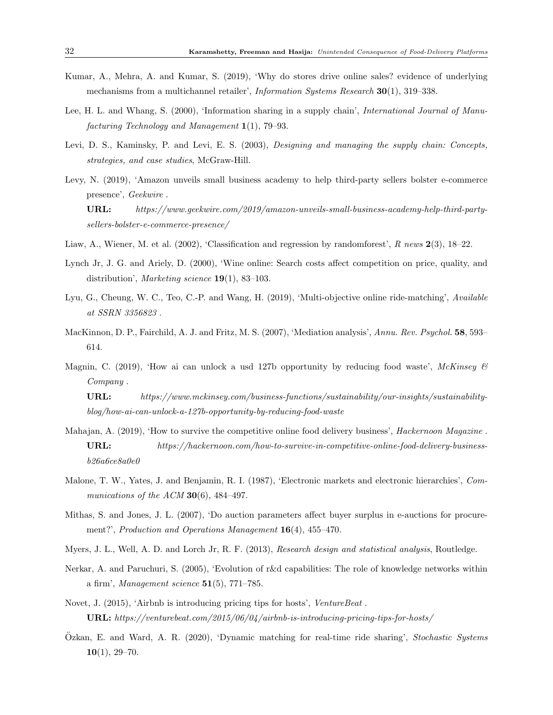- <span id="page-32-5"></span>Kumar, A., Mehra, A. and Kumar, S. (2019), 'Why do stores drive online sales? evidence of underlying mechanisms from a multichannel retailer', *Information Systems Research* 30(1), 319–338.
- <span id="page-32-12"></span>Lee, H. L. and Whang, S. (2000), 'Information sharing in a supply chain', International Journal of Manufacturing Technology and Management 1(1), 79–93.
- <span id="page-32-7"></span>Levi, D. S., Kaminsky, P. and Levi, E. S. (2003), *Designing and managing the supply chain: Concepts*, strategies, and case studies, McGraw-Hill.
- <span id="page-32-13"></span>Levy, N. (2019), 'Amazon unveils small business academy to help third-party sellers bolster e-commerce presence', Geekwire .

URL: https://www.geekwire.com/2019/amazon-unveils-small-business-academy-help-third-partysellers-bolster-e-commerce-presence/

- <span id="page-32-15"></span>Liaw, A., Wiener, M. et al. (2002), 'Classification and regression by randomforest', R news  $2(3)$ , 18–22.
- <span id="page-32-8"></span>Lynch Jr, J. G. and Ariely, D. (2000), 'Wine online: Search costs affect competition on price, quality, and distribution', Marketing science  $19(1)$ , 83-103.
- <span id="page-32-3"></span>Lyu, G., Cheung, W. C., Teo, C.-P. and Wang, H. (2019), 'Multi-objective online ride-matching', Available at SSRN 3356823 .
- <span id="page-32-10"></span>MacKinnon, D. P., Fairchild, A. J. and Fritz, M. S. (2007), 'Mediation analysis', Annu. Rev. Psychol. 58, 593– 614.
- <span id="page-32-6"></span>Magnin, C. (2019), 'How ai can unlock a usd 127b opportunity by reducing food waste', McKinsey  $\mathcal{C}$ Company .

URL: https://www.mckinsey.com/business-functions/sustainability/our-insights/sustainabilityblog/how-ai-can-unlock-a-127b-opportunity-by-reducing-food-waste

- <span id="page-32-0"></span>Mahajan, A. (2019), 'How to survive the competitive online food delivery business', *Hackernoon Magazine*. URL: https://hackernoon.com/how-to-survive-in-competitive-online-food-delivery-businessb26a6ce8a0e0
- <span id="page-32-1"></span>Malone, T. W., Yates, J. and Benjamin, R. I. (1987), 'Electronic markets and electronic hierarchies', Communications of the  $ACM$  30(6), 484-497.
- <span id="page-32-2"></span>Mithas, S. and Jones, J. L. (2007), 'Do auction parameters affect buyer surplus in e-auctions for procurement?', Production and Operations Management 16(4), 455-470.
- <span id="page-32-9"></span>Myers, J. L., Well, A. D. and Lorch Jr, R. F. (2013), Research design and statistical analysis, Routledge.
- <span id="page-32-11"></span>Nerkar, A. and Paruchuri, S. (2005), 'Evolution of r&d capabilities: The role of knowledge networks within a firm', Management science  $51(5)$ , 771–785.
- <span id="page-32-14"></span>Novet, J. (2015), 'Airbnb is introducing pricing tips for hosts', VentureBeat . URL: https://venturebeat.com/2015/06/04/airbnb-is-introducing-pricing-tips-for-hosts/
- <span id="page-32-4"></span>Ozkan, E. and Ward, A. R. (2020), 'Dynamic matching for real-time ride sharing', *Stochastic Systems*  $10(1)$ , 29-70.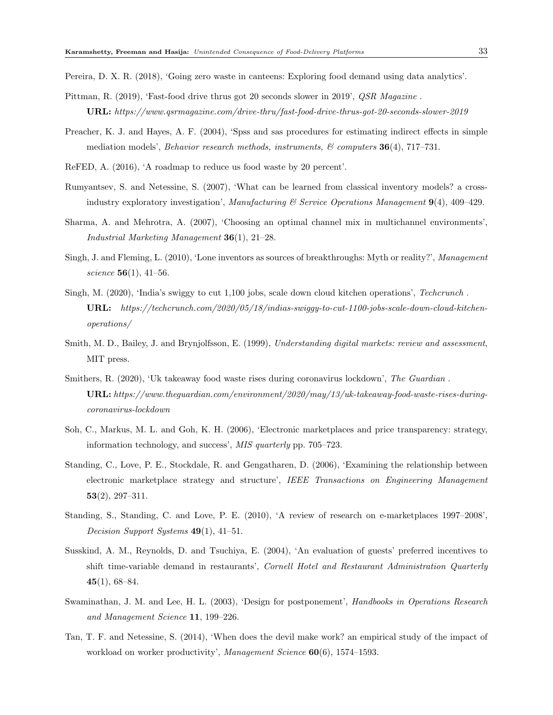<span id="page-33-1"></span>Pereira, D. X. R. (2018), 'Going zero waste in canteens: Exploring food demand using data analytics'.

- <span id="page-33-8"></span>Pittman, R. (2019), 'Fast-food drive thrus got 20 seconds slower in 2019', *QSR Magazine*. URL: https://www.qsrmagazine.com/drive-thru/fast-food-drive-thrus-got-20-seconds-slower-2019
- <span id="page-33-12"></span>Preacher, K. J. and Hayes, A. F. (2004), 'Spss and sas procedures for estimating indirect effects in simple mediation models', Behavior research methods, instruments,  $\mathcal{B}'$  computers **36**(4), 717–731.

<span id="page-33-0"></span>ReFED, A. (2016), 'A roadmap to reduce us food waste by 20 percent'.

- <span id="page-33-10"></span>Rumyantsev, S. and Netessine, S. (2007), 'What can be learned from classical inventory models? a crossindustry exploratory investigation', Manufacturing  $\mathcal C$  Service Operations Management  $9(4)$ , 409–429.
- <span id="page-33-2"></span>Sharma, A. and Mehrotra, A. (2007), 'Choosing an optimal channel mix in multichannel environments', Industrial Marketing Management 36(1), 21–28.
- <span id="page-33-11"></span>Singh, J. and Fleming, L. (2010), 'Lone inventors as sources of breakthroughs: Myth or reality?', Management science  $56(1)$ , 41-56.
- <span id="page-33-14"></span>Singh, M. (2020), 'India's swiggy to cut 1,100 jobs, scale down cloud kitchen operations', Techcrunch . URL: https://techcrunch.com/2020/05/18/indias-swiggy-to-cut-1100-jobs-scale-down-cloud-kitchenoperations/
- <span id="page-33-3"></span>Smith, M. D., Bailey, J. and Brynjolfsson, E. (1999), Understanding digital markets: review and assessment, MIT press.
- <span id="page-33-13"></span>Smithers, R. (2020), 'Uk takeaway food waste rises during coronavirus lockdown', The Guardian. URL: https://www.theguardian.com/environment/2020/may/13/uk-takeaway-food-waste-rises-duringcoronavirus-lockdown
- <span id="page-33-5"></span>Soh, C., Markus, M. L. and Goh, K. H. (2006), 'Electronic marketplaces and price transparency: strategy, information technology, and success', MIS quarterly pp. 705–723.
- <span id="page-33-6"></span>Standing, C., Love, P. E., Stockdale, R. and Gengatharen, D. (2006), 'Examining the relationship between electronic marketplace strategy and structure', IEEE Transactions on Engineering Management  $53(2), 297-311.$
- <span id="page-33-4"></span>Standing, S., Standing, C. and Love, P. E. (2010), 'A review of research on e-marketplaces 1997–2008', Decision Support Systems  $49(1)$ ,  $41-51$ .
- <span id="page-33-15"></span>Susskind, A. M., Reynolds, D. and Tsuchiya, E. (2004), 'An evaluation of guests' preferred incentives to shift time-variable demand in restaurants', Cornell Hotel and Restaurant Administration Quarterly  $45(1), 68-84.$
- <span id="page-33-7"></span>Swaminathan, J. M. and Lee, H. L. (2003), 'Design for postponement', Handbooks in Operations Research and Management Science 11, 199–226.
- <span id="page-33-9"></span>Tan, T. F. and Netessine, S. (2014), 'When does the devil make work? an empirical study of the impact of workload on worker productivity', Management Science  $60(6)$ , 1574–1593.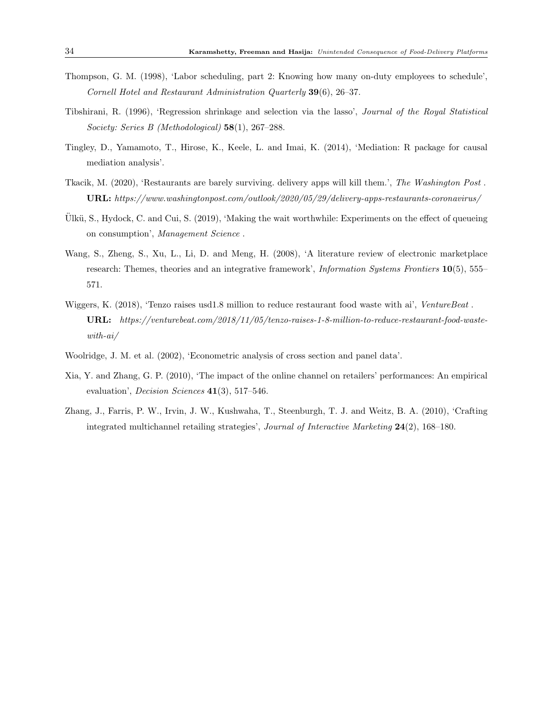- <span id="page-34-6"></span>Thompson, G. M. (1998), 'Labor scheduling, part 2: Knowing how many on-duty employees to schedule', Cornell Hotel and Restaurant Administration Quarterly 39(6), 26–37.
- <span id="page-34-7"></span>Tibshirani, R. (1996), 'Regression shrinkage and selection via the lasso', Journal of the Royal Statistical Society: Series B (Methodological) 58(1), 267–288.
- <span id="page-34-9"></span>Tingley, D., Yamamoto, T., Hirose, K., Keele, L. and Imai, K. (2014), 'Mediation: R package for causal mediation analysis'.
- <span id="page-34-2"></span>Tkacik, M. (2020), 'Restaurants are barely surviving. delivery apps will kill them.', The Washington Post . URL: https://www.washingtonpost.com/outlook/2020/05/29/delivery-apps-restaurants-coronavirus/
- <span id="page-34-0"></span>Ulkü, S., Hydock, C. and Cui, S.  $(2019)$ , 'Making the wait worthwhile: Experiments on the effect of queueing on consumption', Management Science .
- <span id="page-34-3"></span>Wang, S., Zheng, S., Xu, L., Li, D. and Meng, H. (2008), 'A literature review of electronic marketplace research: Themes, theories and an integrative framework', *Information Systems Frontiers* 10(5), 555– 571.
- <span id="page-34-5"></span>Wiggers, K. (2018), 'Tenzo raises usd1.8 million to reduce restaurant food waste with ai', VentureBeat. URL: https://venturebeat.com/2018/11/05/tenzo-raises-1-8-million-to-reduce-restaurant-food-wastewith-ai/
- <span id="page-34-8"></span>Woolridge, J. M. et al. (2002), 'Econometric analysis of cross section and panel data'.
- <span id="page-34-1"></span>Xia, Y. and Zhang, G. P. (2010), 'The impact of the online channel on retailers' performances: An empirical evaluation', Decision Sciences 41(3), 517–546.
- <span id="page-34-4"></span>Zhang, J., Farris, P. W., Irvin, J. W., Kushwaha, T., Steenburgh, T. J. and Weitz, B. A. (2010), 'Crafting integrated multichannel retailing strategies', Journal of Interactive Marketing 24(2), 168–180.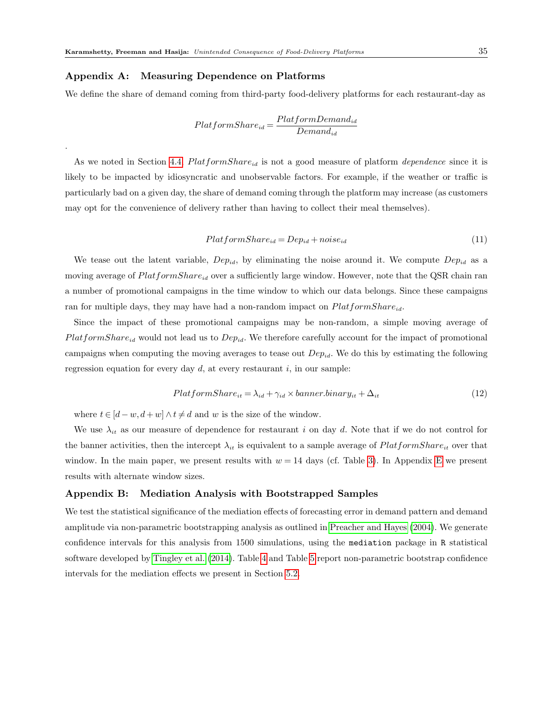#### Appendix A: Measuring Dependence on Platforms

.

We define the share of demand coming from third-party food-delivery platforms for each restaurant-day as

$$
Plat formShare_{id}=\frac{PlatformDemand_{id}}{Demand_{id}}
$$

As we noted in Section [4.4,](#page-17-0)  $PlatformShare_{id}$  is not a good measure of platform *dependence* since it is likely to be impacted by idiosyncratic and unobservable factors. For example, if the weather or traffic is particularly bad on a given day, the share of demand coming through the platform may increase (as customers may opt for the convenience of delivery rather than having to collect their meal themselves).

$$
Plat formShare_{id} = Dep_{id} + noise_{id}
$$
\n
$$
(11)
$$

We tease out the latent variable,  $Dep_{id}$ , by eliminating the noise around it. We compute  $Dep_{id}$  as a moving average of  $PlatformShare_{id}$  over a sufficiently large window. However, note that the QSR chain ran a number of promotional campaigns in the time window to which our data belongs. Since these campaigns ran for multiple days, they may have had a non-random impact on  $PlatformShare_{id}$ .

Since the impact of these promotional campaigns may be non-random, a simple moving average of  $PlatformShare_{id}$  would not lead us to  $Dep_{id}$ . We therefore carefully account for the impact of promotional campaigns when computing the moving averages to tease out  $Dep_{id}$ . We do this by estimating the following regression equation for every day  $d$ , at every restaurant i, in our sample:

<span id="page-35-0"></span>
$$
PlatformShare_{it} = \lambda_{id} + \gamma_{id} \times banner.binary_{it} + \Delta_{it}
$$
\n(12)

where  $t \in [d-w, d+w] \wedge t \neq d$  and w is the size of the window.

We use  $\lambda_{it}$  as our measure of dependence for restaurant i on day d. Note that if we do not control for the banner activities, then the intercept  $\lambda_{it}$  is equivalent to a sample average of  $PlatformShare_{it}$  over that window. In the main paper, we present results with  $w = 14$  days (cf. Table [3\)](#page-24-0). In Appendix [E](#page-20-2) we present results with alternate window sizes.

#### Appendix B: Mediation Analysis with Bootstrapped Samples

We test the statistical significance of the mediation effects of forecasting error in demand pattern and demand amplitude via non-parametric bootstrapping analysis as outlined in [Preacher and Hayes](#page-33-12) [\(2004\)](#page-33-12). We generate confidence intervals for this analysis from 1500 simulations, using the mediation package in R statistical software developed by [Tingley et al.](#page-34-9) [\(2014\)](#page-34-9). Table [4](#page-36-0) and Table [5](#page-36-1) report non-parametric bootstrap confidence intervals for the mediation effects we present in Section [5.2.](#page-22-0)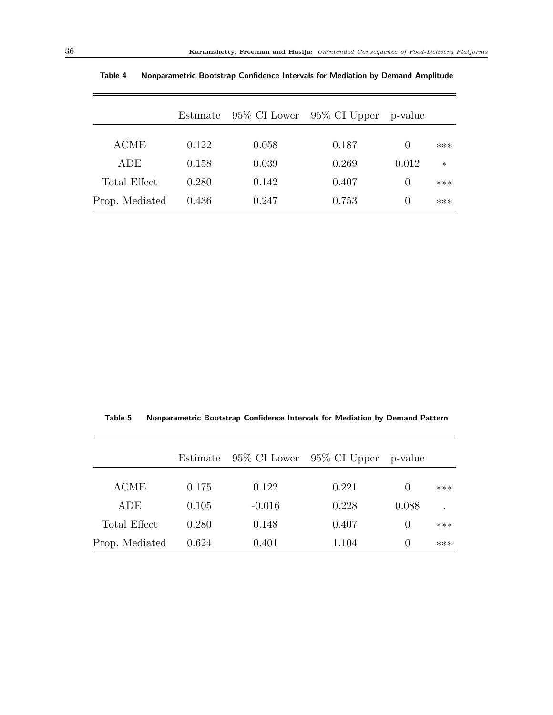$\equiv$ 

|                | Estimate |       | $95\%$ CI Lower $95\%$ CI Upper | p-value          |        |
|----------------|----------|-------|---------------------------------|------------------|--------|
|                |          |       |                                 |                  |        |
| <b>ACME</b>    | 0.122    | 0.058 | 0.187                           | $\left( \right)$ | $***$  |
| ADE            | 0.158    | 0.039 | 0.269                           | 0.012            | $\ast$ |
| Total Effect   | 0.280    | 0.142 | 0.407                           | $\left( \right)$ | $***$  |
| Prop. Mediated | 0.436    | 0.247 | 0.753                           | $\left( \right)$ | $***$  |

<span id="page-36-0"></span>Table 4 Nonparametric Bootstrap Confidence Intervals for Mediation by Demand Amplitude

<span id="page-36-1"></span>Table 5 Nonparametric Bootstrap Confidence Intervals for Mediation by Demand Pattern

|                | Estimate |          | 95\% CI Lower 95\% CI Upper | p-value          |     |
|----------------|----------|----------|-----------------------------|------------------|-----|
|                |          |          |                             |                  |     |
| <b>ACME</b>    | 0.175    | 0.122    | 0.221                       | $\left( \right)$ | *** |
| ADE            | 0.105    | $-0.016$ | 0.228                       | 0.088            |     |
| Total Effect   | 0.280    | 0.148    | 0.407                       | $\theta$         | *** |
| Prop. Mediated | 0.624    | 0.401    | 1.104                       | $\left( \right)$ | *** |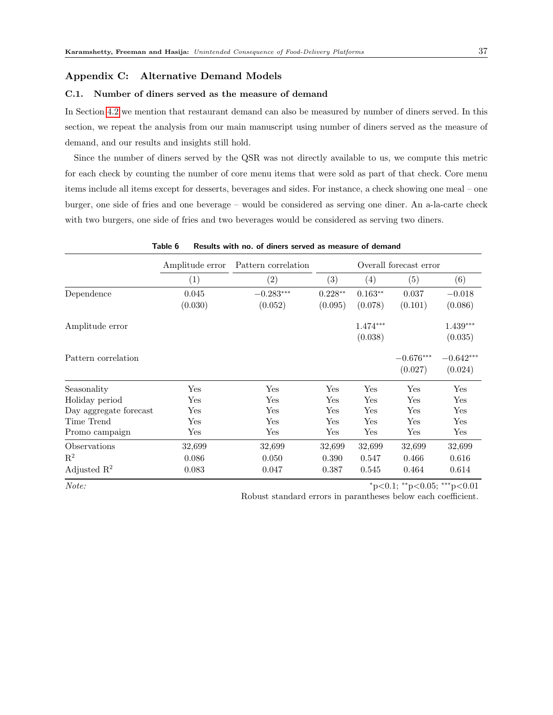#### Appendix C: Alternative Demand Models

#### C.1. Number of diners served as the measure of demand

In Section [4.2](#page-12-0) we mention that restaurant demand can also be measured by number of diners served. In this section, we repeat the analysis from our main manuscript using number of diners served as the measure of demand, and our results and insights still hold.

Since the number of diners served by the QSR was not directly available to us, we compute this metric for each check by counting the number of core menu items that were sold as part of that check. Core menu items include all items except for desserts, beverages and sides. For instance, a check showing one meal – one burger, one side of fries and one beverage – would be considered as serving one diner. An a-la-carte check with two burgers, one side of fries and two beverages would be considered as serving two diners.

|                         | <b>Table 0</b><br>results with no. Of uniters served as inteasure of definant |                     |              |                        |                      |             |  |  |  |  |  |
|-------------------------|-------------------------------------------------------------------------------|---------------------|--------------|------------------------|----------------------|-------------|--|--|--|--|--|
|                         | Amplitude error                                                               | Pattern correlation |              | Overall forecast error |                      |             |  |  |  |  |  |
|                         | $\left( 1\right)$                                                             | $\left( 2\right)$   | (3)          | (4)                    | (5)                  | (6)         |  |  |  |  |  |
| Dependence              | 0.045                                                                         | $-0.283***$         | $0.228**$    | $0.163**$              | 0.037                | $-0.018$    |  |  |  |  |  |
|                         | (0.030)                                                                       | (0.052)             | (0.095)      | (0.078)                | (0.101)              | (0.086)     |  |  |  |  |  |
| Amplitude error         |                                                                               |                     |              | $1.474***$             |                      | $1.439***$  |  |  |  |  |  |
|                         |                                                                               |                     |              | (0.038)                |                      | (0.035)     |  |  |  |  |  |
| Pattern correlation     |                                                                               |                     |              |                        | $-0.676***$          | $-0.642***$ |  |  |  |  |  |
|                         |                                                                               |                     |              |                        | (0.027)              | (0.024)     |  |  |  |  |  |
| Seasonality             | Yes                                                                           | Yes                 | Yes          | Yes                    | Yes                  | Yes         |  |  |  |  |  |
| Holiday period          | Yes                                                                           | Yes                 | $_{\rm Yes}$ | Yes                    | Yes                  | Yes         |  |  |  |  |  |
| Day aggregate forecast  | Yes                                                                           | Yes                 | Yes          | Yes                    | Yes                  | Yes         |  |  |  |  |  |
| Time Trend              | Yes                                                                           | Yes                 | Yes          | Yes                    | Yes                  | Yes         |  |  |  |  |  |
| Promo campaign          | $\operatorname{Yes}$                                                          | Yes                 | Yes          | Yes                    | $\operatorname{Yes}$ | ${\rm Yes}$ |  |  |  |  |  |
| Observations            | 32,699                                                                        | 32,699              | 32,699       | 32,699                 | 32,699               | 32,699      |  |  |  |  |  |
| $\mathbf{R}^2$          | 0.086                                                                         | 0.050               | 0.390        | 0.547                  | 0.466                | 0.616       |  |  |  |  |  |
| Adjusted $\mathbb{R}^2$ | 0.083                                                                         | 0.047               | 0.387        | 0.545                  | 0.464                | 0.614       |  |  |  |  |  |

Table 6 Results with no. of diners served as measure of demand

Note: \*\*p<0.05; \*\*\*p<0.05}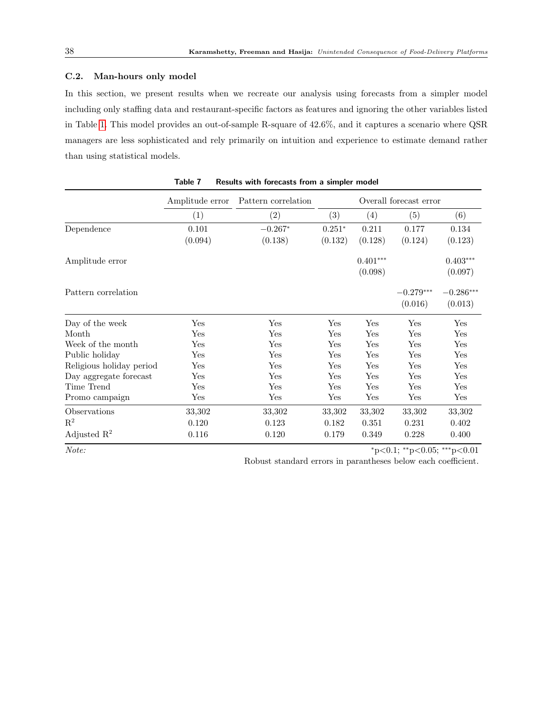#### C.2. Man-hours only model

In this section, we present results when we recreate our analysis using forecasts from a simpler model including only staffing data and restaurant-specific factors as features and ignoring the other variables listed in Table [1.](#page-14-1) This model provides an out-of-sample R-square of 42.6%, and it captures a scenario where QSR managers are less sophisticated and rely primarily on intuition and experience to estimate demand rather than using statistical models.

|                          | nesuns with forecasts from a simpler mouch                       |                   |          |                       |                        |                                    |  |  |  |  |
|--------------------------|------------------------------------------------------------------|-------------------|----------|-----------------------|------------------------|------------------------------------|--|--|--|--|
|                          | Overall forecast error<br>Amplitude error<br>Pattern correlation |                   |          |                       |                        |                                    |  |  |  |  |
|                          | (1)                                                              | $\left( 2\right)$ | (3)      | (4)                   | (5)                    | (6)                                |  |  |  |  |
| Dependence               | 0.101                                                            | $-0.267*$         | $0.251*$ | 0.211                 | 0.177                  | 0.134                              |  |  |  |  |
|                          | (0.094)                                                          | (0.138)           | (0.132)  | (0.128)               | (0.124)                | (0.123)                            |  |  |  |  |
| Amplitude error          |                                                                  |                   |          | $0.401***$<br>(0.098) |                        | $0.403***$<br>(0.097)              |  |  |  |  |
| Pattern correlation      |                                                                  |                   |          |                       | $-0.279***$<br>(0.016) | $-0.286^{\ast\ast\ast}$<br>(0.013) |  |  |  |  |
| Day of the week          | Yes                                                              | Yes               | Yes      | Yes                   | Yes                    | Yes                                |  |  |  |  |
| Month                    | $_{\rm Yes}$                                                     | Yes               | Yes      | Yes                   | Yes                    | Yes                                |  |  |  |  |
| Week of the month        | Yes                                                              | Yes               | Yes      | Yes                   | Yes                    | Yes                                |  |  |  |  |
| Public holiday           | Yes                                                              | Yes               | Yes      | Yes                   | Yes                    | Yes                                |  |  |  |  |
| Religious holiday period | Yes                                                              | Yes               | Yes      | Yes                   | Yes                    | Yes                                |  |  |  |  |
| Day aggregate forecast   | Yes                                                              | Yes               | Yes      | Yes                   | Yes                    | Yes                                |  |  |  |  |
| Time Trend               | $_{\rm Yes}$                                                     | Yes               | Yes      | Yes                   | Yes                    | Yes                                |  |  |  |  |
| Promo campaign           | Yes                                                              | Yes               | Yes      | Yes                   | Yes                    | Yes                                |  |  |  |  |
| Observations             | 33,302                                                           | 33,302            | 33,302   | 33,302                | 33,302                 | 33,302                             |  |  |  |  |
| $\mathbf{R}^2$           | 0.120                                                            | 0.123             | 0.182    | 0.351                 | 0.231                  | 0.402                              |  |  |  |  |
| Adjusted $\mathbb{R}^2$  | 0.116                                                            | 0.120             | 0.179    | 0.349                 | 0.228                  | 0.400                              |  |  |  |  |

Table 7 Results with forecasts from a simpler model

Note:<br> ∗p<0.1; \*\*p<0.05; \*\*\*p<0.01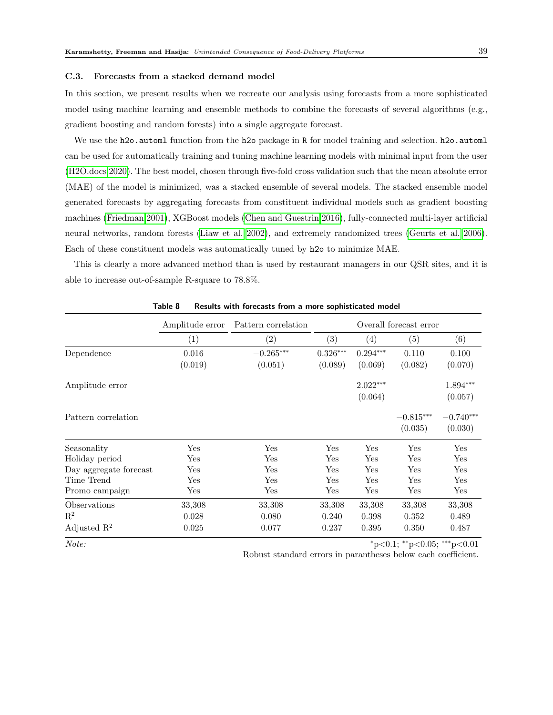#### C.3. Forecasts from a stacked demand model

In this section, we present results when we recreate our analysis using forecasts from a more sophisticated model using machine learning and ensemble methods to combine the forecasts of several algorithms (e.g., gradient boosting and random forests) into a single aggregate forecast.

We use the h2o. automl function from the h2o package in R for model training and selection. h2o. automl can be used for automatically training and tuning machine learning models with minimal input from the user [\(H2O.docs 2020\)](#page-31-13). The best model, chosen through five-fold cross validation such that the mean absolute error (MAE) of the model is minimized, was a stacked ensemble of several models. The stacked ensemble model generated forecasts by aggregating forecasts from constituent individual models such as gradient boosting machines [\(Friedman 2001\)](#page-31-14), XGBoost models [\(Chen and Guestrin 2016\)](#page-30-14), fully-connected multi-layer artificial neural networks, random forests [\(Liaw et al. 2002\)](#page-32-15), and extremely randomized trees [\(Geurts et al. 2006\)](#page-31-15). Each of these constituent models was automatically tuned by h2o to minimize MAE.

This is clearly a more advanced method than is used by restaurant managers in our QSR sites, and it is able to increase out-of-sample R-square to 78.8%.

|                         | Amplitude error      | Pattern correlation | Overall forecast error |            |             |             |
|-------------------------|----------------------|---------------------|------------------------|------------|-------------|-------------|
|                         | (1)                  | (2)                 | (3)                    | (4)        | (5)         | (6)         |
| Dependence              | 0.016                | $-0.265***$         | $0.326***$             | $0.294***$ | 0.110       | 0.100       |
|                         | (0.019)              | (0.051)             | (0.089)                | (0.069)    | (0.082)     | (0.070)     |
| Amplitude error         |                      |                     |                        | $2.022***$ |             | 1.894***    |
|                         |                      |                     |                        | (0.064)    |             | (0.057)     |
| Pattern correlation     |                      |                     |                        |            | $-0.815***$ | $-0.740***$ |
|                         |                      |                     |                        |            | (0.035)     | (0.030)     |
| Seasonality             | Yes                  | Yes                 | Yes                    | Yes        | Yes         | Yes         |
| Holiday period          | $\operatorname{Yes}$ | Yes                 | Yes                    | Yes        | Yes         | Yes         |
| Day aggregate forecast  | Yes                  | Yes                 | Yes                    | Yes        | Yes         | Yes         |
| Time Trend              | Yes                  | Yes                 | Yes                    | Yes        | Yes         | Yes         |
| Promo campaign          | Yes                  | Yes                 | Yes                    | Yes        | Yes         | Yes         |
| Observations            | 33,308               | 33,308              | 33,308                 | 33,308     | 33,308      | 33,308      |
| $\mathbf{R}^2$          | 0.028                | 0.080               | 0.240                  | 0.398      | 0.352       | 0.489       |
| Adjusted $\mathbb{R}^2$ | 0.025                | 0.077               | 0.237                  | 0.395      | 0.350       | 0.487       |

Table 8 Results with forecasts from a more sophisticated model

Note: \*\*p<0.05; \*\*\*p<0.05}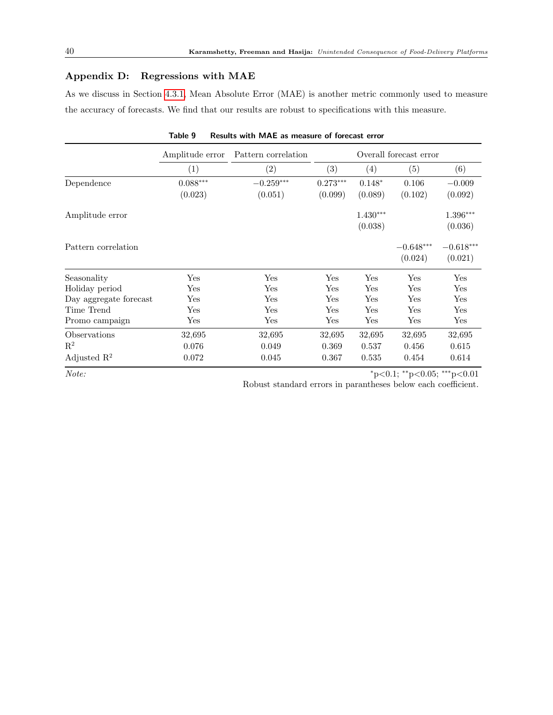# Appendix D: Regressions with MAE

As we discuss in Section [4.3.1,](#page-16-2) Mean Absolute Error (MAE) is another metric commonly used to measure the accuracy of forecasts. We find that our results are robust to specifications with this measure.

|                         | Amplitude error | Pattern correlation  |                   | Overall forecast error |                                    |             |  |  |
|-------------------------|-----------------|----------------------|-------------------|------------------------|------------------------------------|-------------|--|--|
|                         | (1)             | $\left( 2\right)$    | $\left( 3\right)$ | (4)                    | (5)                                | (6)         |  |  |
| Dependence              | $0.088***$      | $-0.259***$          | $0.273***$        | $0.148*$               | 0.106                              | $-0.009$    |  |  |
|                         | (0.023)         | (0.051)              | (0.099)           | (0.089)                | (0.102)                            | (0.092)     |  |  |
| Amplitude error         |                 |                      |                   | $1.430***$             |                                    | 1.396***    |  |  |
|                         |                 |                      |                   | (0.038)                |                                    | (0.036)     |  |  |
| Pattern correlation     |                 |                      |                   |                        | $-0.648***$                        | $-0.618***$ |  |  |
|                         |                 |                      |                   |                        | (0.024)                            | (0.021)     |  |  |
| Seasonality             | Yes             | Yes                  | Yes               | $\operatorname{Yes}$   | Yes                                | Yes         |  |  |
| Holiday period          | Yes             | Yes                  | Yes               | Yes                    | Yes                                | Yes         |  |  |
| Day aggregate forecast  | $_{\rm Yes}$    | $\operatorname{Yes}$ | Yes               | $\operatorname{Yes}$   | Yes                                | Yes         |  |  |
| Time Trend              | Yes             | Yes                  | Yes               | Yes                    | Yes                                | Yes         |  |  |
| Promo campaign          | Yes             | Yes                  | Yes               | Yes                    | Yes                                | Yes         |  |  |
| Observations            | 32,695          | 32,695               | 32,695            | 32,695                 | 32,695                             | 32,695      |  |  |
| $\mathbf{R}^2$          | 0.076           | 0.049                | 0.369             | 0.537                  | 0.456                              | 0.615       |  |  |
| Adjusted $\mathbb{R}^2$ | 0.072           | 0.045                | 0.367             | 0.535                  | 0.454                              | 0.614       |  |  |
| Note:                   |                 |                      |                   |                        | $*_{p<0.1; *_{p<0.05; *_{p<0.01}}$ |             |  |  |

Table 9 Results with MAE as measure of forecast error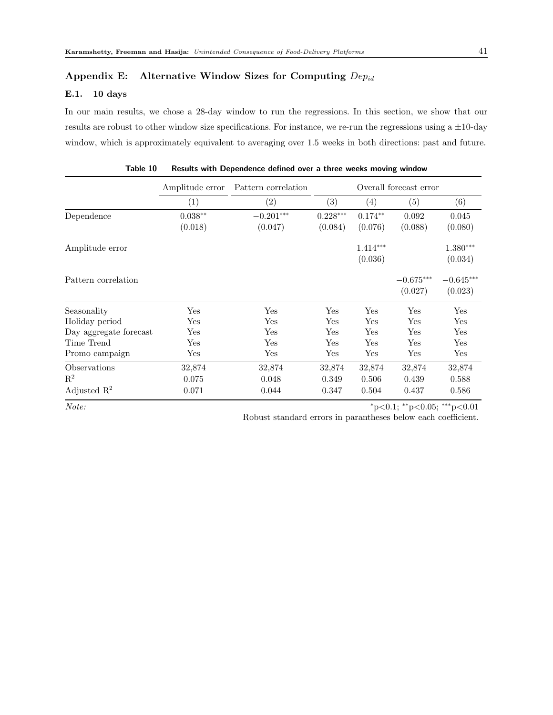#### Appendix E: Alternative Window Sizes for Computing  $Dep_{id}$

## E.1. 10 days

In our main results, we chose a 28-day window to run the regressions. In this section, we show that our results are robust to other window size specifications. For instance, we re-run the regressions using a ±10-day window, which is approximately equivalent to averaging over 1.5 weeks in both directions: past and future.

|                         | Amplitude error    | Pattern correlation | Overall forecast error |            |             |                         |
|-------------------------|--------------------|---------------------|------------------------|------------|-------------|-------------------------|
|                         | (1)                | (2)                 | (3)                    | (4)        | (5)         | (6)                     |
| Dependence              | $0.038^{\ast\ast}$ | $-0.201***$         | $0.228***$             | $0.174**$  | 0.092       | 0.045                   |
|                         | (0.018)            | (0.047)             | (0.084)                | (0.076)    | (0.088)     | (0.080)                 |
| Amplitude error         |                    |                     |                        | $1.414***$ |             | $1.380***$              |
|                         |                    |                     |                        | (0.036)    |             | (0.034)                 |
| Pattern correlation     |                    |                     |                        |            | $-0.675***$ | $-0.645^{\ast\ast\ast}$ |
|                         |                    |                     |                        |            | (0.027)     | (0.023)                 |
| Seasonality             | Yes                | Yes                 | Yes                    | Yes        | Yes         | Yes                     |
| Holiday period          | Yes                | $_{\rm Yes}$        | Yes                    | Yes        | Yes         | Yes                     |
| Day aggregate forecast  | Yes                | Yes                 | Yes                    | Yes        | Yes         | Yes                     |
| Time Trend              | Yes                | Yes                 | Yes                    | Yes        | Yes         | Yes                     |
| Promo campaign          | Yes                | Yes                 | Yes                    | Yes        | Yes         | Yes                     |
| Observations            | 32,874             | 32,874              | 32,874                 | 32,874     | 32,874      | 32,874                  |
| $\mathbf{R}^2$          | 0.075              | 0.048               | 0.349                  | 0.506      | 0.439       | 0.588                   |
| Adjusted $\mathbb{R}^2$ | 0.071              | 0.044               | 0.347                  | 0.504      | 0.437       | 0.586                   |

| Table 10 Results with Dependence defined over a three weeks moving window |  |  |  |  |  |  |  |  |  |
|---------------------------------------------------------------------------|--|--|--|--|--|--|--|--|--|
|---------------------------------------------------------------------------|--|--|--|--|--|--|--|--|--|

Note: \*\*\*p<0.05; \*\*\*p<0.01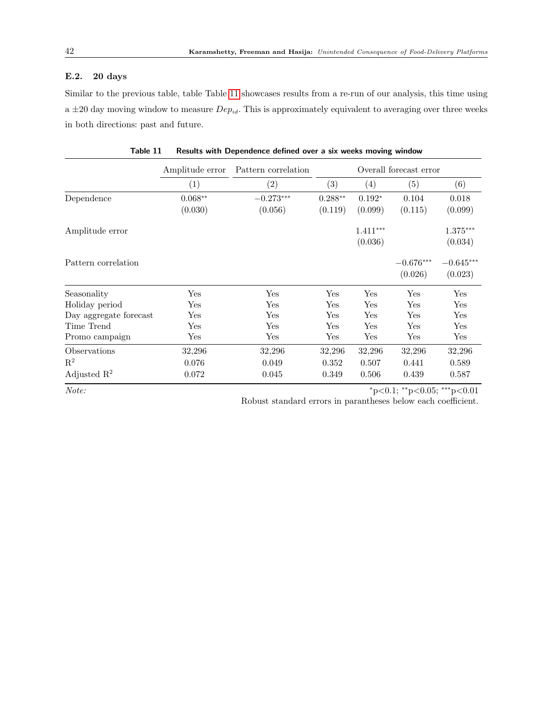## E.2. 20 days

Similar to the previous table, table Table [11](#page-42-0) showcases results from a re-run of our analysis, this time using a  $\pm 20$  day moving window to measure  $Dep_{id}$ . This is approximately equivalent to averaging over three weeks in both directions: past and future.

<span id="page-42-0"></span>

|                         | Amplitude error<br>Pattern correlation |                   |           | Overall forecast error |                             |                        |
|-------------------------|----------------------------------------|-------------------|-----------|------------------------|-----------------------------|------------------------|
|                         | $\left( 1\right)$                      | $\left( 2\right)$ | (3)       | $\left(4\right)$       | (5)                         | (6)                    |
| Dependence              | $0.068**$                              | $-0.273***$       | $0.288**$ | $0.192*$               | 0.104                       | 0.018                  |
|                         | (0.030)                                | (0.056)           | (0.119)   | (0.099)                | (0.115)                     | (0.099)                |
| Amplitude error         |                                        |                   |           | $1.411***$             |                             | $1.375***$             |
|                         |                                        |                   |           | (0.036)                |                             | (0.034)                |
| Pattern correlation     |                                        |                   |           |                        | $-0.676***$<br>(0.026)      | $-0.645***$<br>(0.023) |
| Seasonality             | Yes                                    | Yes               | Yes       | Yes                    | Yes                         | Yes                    |
| Holiday period          | Yes                                    | Yes               | Yes       | Yes                    | Yes                         | Yes                    |
| Day aggregate forecast  | Yes                                    | Yes               | Yes       | Yes                    | $\operatorname{Yes}$        | Yes                    |
| Time Trend              | Yes                                    | Yes               | Yes       | Yes                    | Yes                         | Yes                    |
| Promo campaign          | $\operatorname{Yes}$                   | Yes               | Yes       | Yes                    | Yes                         | Yes                    |
| Observations            | 32,296                                 | 32,296            | 32,296    | 32,296                 | 32,296                      | 32,296                 |
| $\mathrm{R}^2$          | 0.076                                  | 0.049             | 0.352     | 0.507                  | 0.441                       | 0.589                  |
| Adjusted $\mathbb{R}^2$ | 0.072                                  | 0.045             | 0.349     | 0.506                  | 0.439                       | 0.587                  |
| Note:                   |                                        |                   |           |                        | *p<0.1; **p<0.05; ***p<0.01 |                        |

| Table 11   Results with Dependence defined over a six weeks moving window |  |  |  |
|---------------------------------------------------------------------------|--|--|--|
|                                                                           |  |  |  |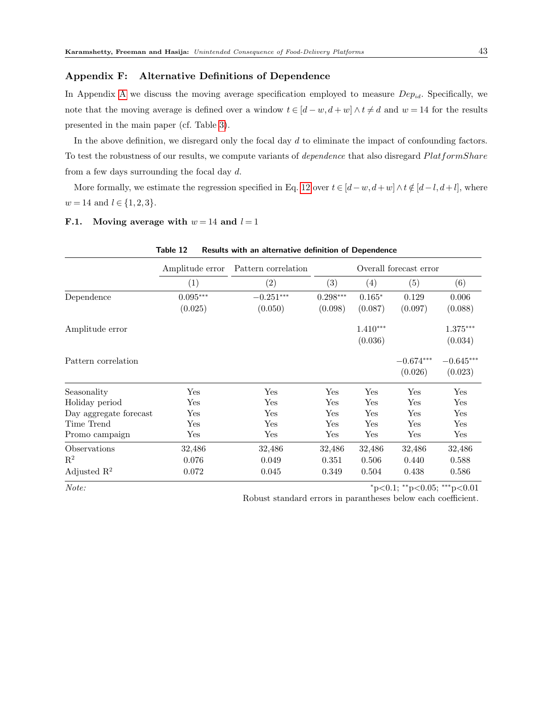#### Appendix F: Alternative Definitions of Dependence

In [A](#page-1-1)ppendix A we discuss the moving average specification employed to measure  $Dep_{id}$ . Specifically, we note that the moving average is defined over a window  $t \in [d-w, d+w] \wedge t \neq d$  and  $w = 14$  for the results presented in the main paper (cf. Table [3\)](#page-24-0).

In the above definition, we disregard only the focal day d to eliminate the impact of confounding factors. To test the robustness of our results, we compute variants of *dependence* that also disregard PlatformShare from a few days surrounding the focal day  $d$ .

More formally, we estimate the regression specified in Eq. [12](#page-35-0) over  $t \in [d-w, d+w] \wedge t \notin [d-l, d+l]$ , where  $w = 14$  and  $l \in \{1, 2, 3\}.$ 

#### <span id="page-43-0"></span>F.1. Moving average with  $w = 14$  and  $l = 1$

|                         | TANIC IZ<br>Amplitude error | Results with all alternative definition of Dependence<br>Pattern correlation |                        |            |                      |                      |  |
|-------------------------|-----------------------------|------------------------------------------------------------------------------|------------------------|------------|----------------------|----------------------|--|
|                         |                             |                                                                              | Overall forecast error |            |                      |                      |  |
|                         | (1)                         | (2)                                                                          | (3)                    | (4)        | (5)                  | (6)                  |  |
| Dependence              | $0.095^{\ast\ast\ast}$      | $-0.251***$                                                                  | $0.298***$             | $0.165*$   | 0.129                | 0.006                |  |
|                         | (0.025)                     | (0.050)                                                                      | (0.098)                | (0.087)    | (0.097)              | (0.088)              |  |
| Amplitude error         |                             |                                                                              |                        | $1.410***$ |                      | $1.375***$           |  |
|                         |                             |                                                                              |                        | (0.036)    |                      | (0.034)              |  |
| Pattern correlation     |                             |                                                                              |                        |            | $-0.674***$          | $-0.645***$          |  |
|                         |                             |                                                                              |                        |            | (0.026)              | (0.023)              |  |
| Seasonality             | Yes                         | Yes                                                                          | Yes                    | Yes        | $\operatorname{Yes}$ | Yes                  |  |
| Holiday period          | Yes                         | Yes                                                                          | Yes                    | Yes        | $\operatorname{Yes}$ | Yes                  |  |
| Day aggregate forecast  | Yes                         | Yes                                                                          | Yes                    | Yes        | Yes                  | Yes                  |  |
| Time Trend              | Yes                         | Yes                                                                          | Yes                    | Yes        | $\operatorname{Yes}$ | Yes                  |  |
| Promo campaign          | Yes                         | Yes                                                                          | Yes                    | Yes        | Yes                  | $\operatorname{Yes}$ |  |
| Observations            | 32,486                      | 32,486                                                                       | 32,486                 | 32,486     | 32,486               | 32,486               |  |
| $\mathbf{R}^2$          | 0.076                       | 0.049                                                                        | 0.351                  | 0.506      | 0.440                | 0.588                |  |
| Adjusted $\mathbb{R}^2$ | 0.072                       | 0.045                                                                        | 0.349                  | 0.504      | 0.438                | 0.586                |  |

 $Note:$   $*_{p<0.1; *_{p<0.05; * *_{p<0.01}}$ 

Robust standard errors in parantheses below each coefficient.

#### Table 12 Results with an alternative definition of Dependence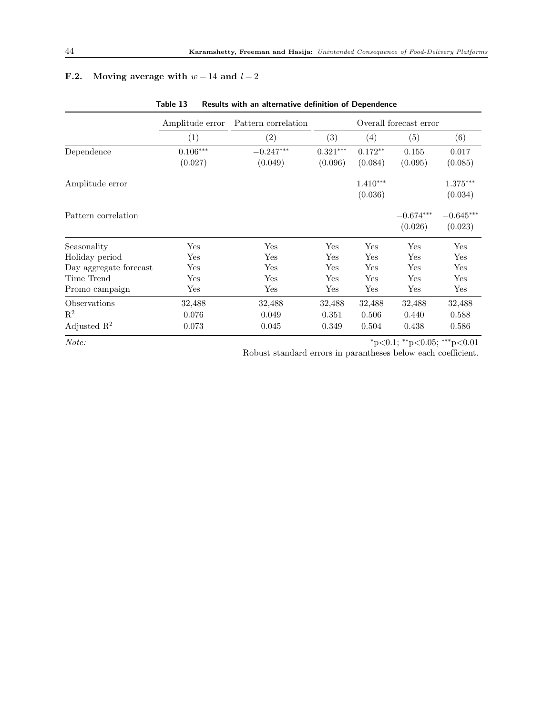# <span id="page-44-0"></span>**F.2.** Moving average with  $w = 14$  and  $l = 2$

|                         | Amplitude error      | Pattern correlation | Overall forecast error |            |                             |             |  |
|-------------------------|----------------------|---------------------|------------------------|------------|-----------------------------|-------------|--|
|                         | (1)                  | (2)                 | (3)                    | (4)        | (5)                         | (6)         |  |
| Dependence              | $0.106***$           | $-0.247***$         | $0.321***$             | $0.172**$  | 0.155                       | 0.017       |  |
|                         | (0.027)              | (0.049)             | (0.096)                | (0.084)    | (0.095)                     | (0.085)     |  |
| Amplitude error         |                      |                     |                        | $1.410***$ |                             | $1.375***$  |  |
|                         |                      |                     |                        | (0.036)    |                             | (0.034)     |  |
| Pattern correlation     |                      |                     |                        |            | $-0.674***$                 | $-0.645***$ |  |
|                         |                      |                     |                        |            | (0.026)                     | (0.023)     |  |
| Seasonality             | Yes                  | Yes                 | Yes                    | Yes        | Yes                         | Yes         |  |
| Holiday period          | $\operatorname{Yes}$ | Yes                 | Yes                    | Yes        | Yes                         | Yes         |  |
| Day aggregate forecast  | Yes                  | Yes                 | Yes                    | Yes        | Yes                         | Yes         |  |
| Time Trend              | Yes                  | Yes                 | Yes                    | Yes        | Yes                         | Yes         |  |
| Promo campaign          | Yes                  | $_{\rm Yes}$        | Yes                    | Yes        | Yes                         | Yes         |  |
| Observations            | 32,488               | 32,488              | 32,488                 | 32,488     | 32,488                      | 32,488      |  |
| $\mathbf{R}^2$          | 0.076                | 0.049               | 0.351                  | 0.506      | 0.440                       | 0.588       |  |
| Adjusted $\mathbb{R}^2$ | 0.073                | 0.045               | 0.349                  | 0.504      | 0.438                       | 0.586       |  |
| Note:                   |                      |                     |                        |            | *p<0.1; **p<0.05; ***p<0.01 |             |  |

Table 13 Results with an alternative definition of Dependence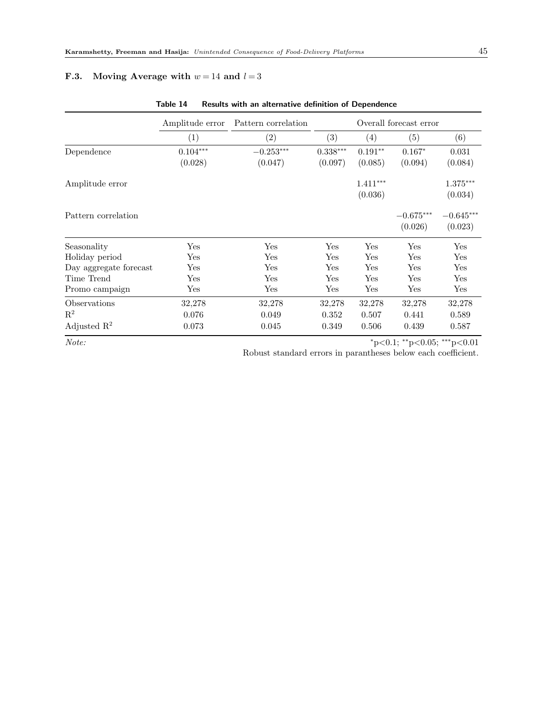# <span id="page-45-0"></span>F.3. Moving Average with  $w = 14$  and  $l = 3$

|                         | Amplitude error      | Pattern correlation | Overall forecast error |            |                                         |             |  |
|-------------------------|----------------------|---------------------|------------------------|------------|-----------------------------------------|-------------|--|
|                         | (1)                  | (2)                 | (3)                    | (4)        | (5)                                     | (6)         |  |
| Dependence              | $0.104***$           | $-0.253***$         | $0.338***$             | $0.191**$  | $0.167*$                                | 0.031       |  |
|                         | (0.028)              | (0.047)             | (0.097)                | (0.085)    | (0.094)                                 | (0.084)     |  |
| Amplitude error         |                      |                     |                        | $1.411***$ |                                         | $1.375***$  |  |
|                         |                      |                     |                        | (0.036)    |                                         | (0.034)     |  |
| Pattern correlation     |                      |                     |                        |            | $-0.675***$                             | $-0.645***$ |  |
|                         |                      |                     |                        |            | (0.026)                                 | (0.023)     |  |
| Seasonality             | Yes                  | Yes                 | Yes                    | Yes        | Yes                                     | Yes         |  |
| Holiday period          | Yes                  | Yes                 | Yes                    | Yes        | Yes                                     | Yes         |  |
| Day aggregate forecast  | $\operatorname{Yes}$ | Yes                 | Yes                    | Yes        | Yes                                     | Yes         |  |
| Time Trend              | Yes                  | Yes                 | Yes                    | Yes        | Yes                                     | Yes         |  |
| Promo campaign          | Yes                  | Yes                 | Yes                    | Yes        | Yes                                     | Yes         |  |
| Observations            | 32,278               | 32,278              | 32,278                 | 32,278     | 32,278                                  | 32,278      |  |
| $\mathbf{R}^2$          | 0.076                | 0.049               | 0.352                  | 0.507      | 0.441                                   | 0.589       |  |
| Adjusted $\mathbb{R}^2$ | 0.073                | 0.045               | 0.349                  | 0.506      | 0.439                                   | 0.587       |  |
| Note:                   |                      |                     |                        |            | $*_{p<0.1;}$ $*_{p<0.05;}$ $*_{p<0.01}$ |             |  |

Table 14 Results with an alternative definition of Dependence